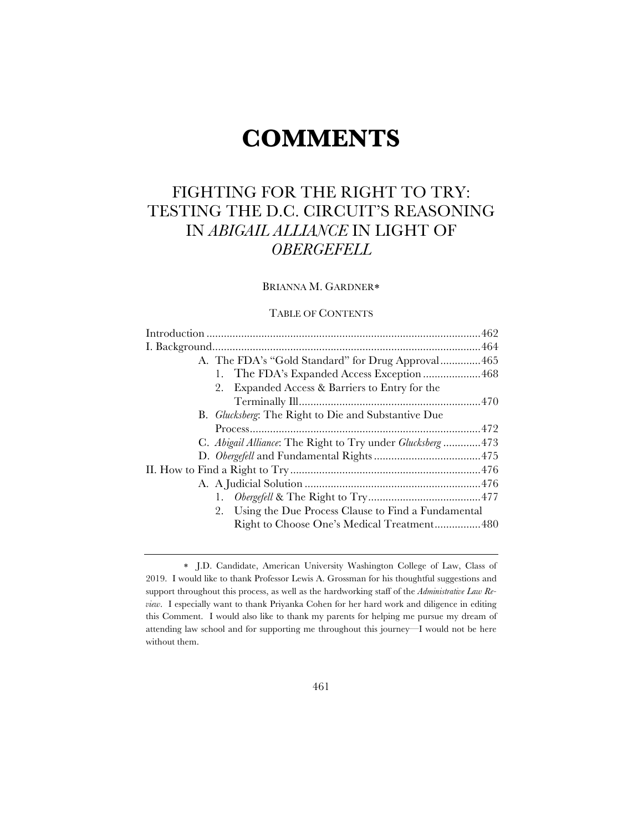# **COMMENTS**

# FIGHTING FOR THE RIGHT TO TRY: TESTING THE D.C. CIRCUIT'S REASONING IN *ABIGAIL ALLIANCE* IN LIGHT OF *OBERGEFELL*

# BRIANNA M. GARDNER\*

## TABLE OF CONTENTS

| A. The FDA's "Gold Standard" for Drug Approval465           |  |
|-------------------------------------------------------------|--|
|                                                             |  |
| Expanded Access & Barriers to Entry for the<br>2.           |  |
|                                                             |  |
| B. <i>Glucksberg</i> : The Right to Die and Substantive Due |  |
|                                                             |  |
| C. Abigail Alliance: The Right to Try under Glucksberg473   |  |
|                                                             |  |
|                                                             |  |
|                                                             |  |
|                                                             |  |
| 2. Using the Due Process Clause to Find a Fundamental       |  |
| Right to Choose One's Medical Treatment480                  |  |
|                                                             |  |

<sup>\*</sup> J.D. Candidate, American University Washington College of Law, Class of 2019. I would like to thank Professor Lewis A. Grossman for his thoughtful suggestions and support throughout this process, as well as the hardworking staff of the *Administrative Law Review*. I especially want to thank Priyanka Cohen for her hard work and diligence in editing this Comment. I would also like to thank my parents for helping me pursue my dream of attending law school and for supporting me throughout this journey—I would not be here without them.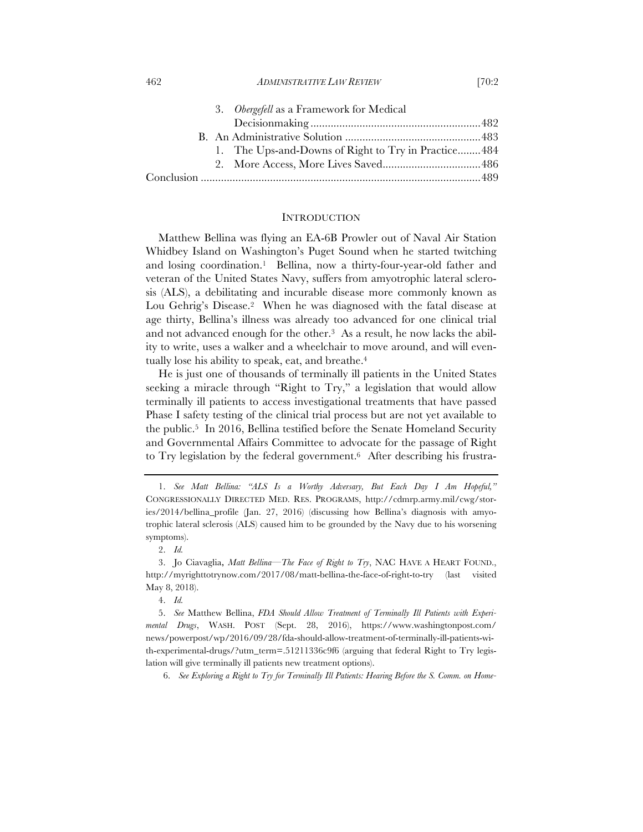#### 462 *ADMINISTRATIVE LAW REVIEW* [70:2

|  | 3. Obergefell as a Framework for Medical            |  |
|--|-----------------------------------------------------|--|
|  |                                                     |  |
|  |                                                     |  |
|  | 1. The Ups-and-Downs of Right to Try in Practice484 |  |
|  |                                                     |  |
|  |                                                     |  |

#### **INTRODUCTION**

Matthew Bellina was flying an EA-6B Prowler out of Naval Air Station Whidbey Island on Washington's Puget Sound when he started twitching and losing coordination.1 Bellina, now a thirty-four-year-old father and veteran of the United States Navy, suffers from amyotrophic lateral sclerosis (ALS), a debilitating and incurable disease more commonly known as Lou Gehrig's Disease.2 When he was diagnosed with the fatal disease at age thirty, Bellina's illness was already too advanced for one clinical trial and not advanced enough for the other.<sup>3</sup> As a result, he now lacks the ability to write, uses a walker and a wheelchair to move around, and will eventually lose his ability to speak, eat, and breathe.4

He is just one of thousands of terminally ill patients in the United States seeking a miracle through "Right to Try," a legislation that would allow terminally ill patients to access investigational treatments that have passed Phase I safety testing of the clinical trial process but are not yet available to the public.5 In 2016, Bellina testified before the Senate Homeland Security and Governmental Affairs Committee to advocate for the passage of Right to Try legislation by the federal government.<sup>6</sup> After describing his frustra-

6. *See Exploring a Right to Try for Terminally Ill Patients: Hearing Before the S. Comm. on Home-*

<sup>1.</sup> *See Matt Bellina: "ALS Is a Worthy Adversary, But Each Day I Am Hopeful,"*  CONGRESSIONALLY DIRECTED MED. RES. PROGRAMS, http://cdmrp.army.mil/cwg/stories/2014/bellina\_profile (Jan. 27, 2016) (discussing how Bellina's diagnosis with amyotrophic lateral sclerosis (ALS) caused him to be grounded by the Navy due to his worsening symptoms).

<sup>2.</sup> *Id.*

<sup>3.</sup> Jo Ciavaglia, *Matt Bellina—The Face of Right to Try*, NAC HAVE A HEART FOUND., http://myrighttotrynow.com/2017/08/matt-bellina-the-face-of-right-to-try (last visited May 8, 2018).

<sup>4.</sup> *Id.*

<sup>5.</sup> *See* Matthew Bellina, *FDA Should Allow Treatment of Terminally Ill Patients with Experimental Drugs*, WASH. POST (Sept. 28, 2016), https://www.washingtonpost.com/ news/powerpost/wp/2016/09/28/fda-should-allow-treatment-of-terminally-ill-patients-with-experimental-drugs/?utm\_term=.51211336c9f6 (arguing that federal Right to Try legislation will give terminally ill patients new treatment options).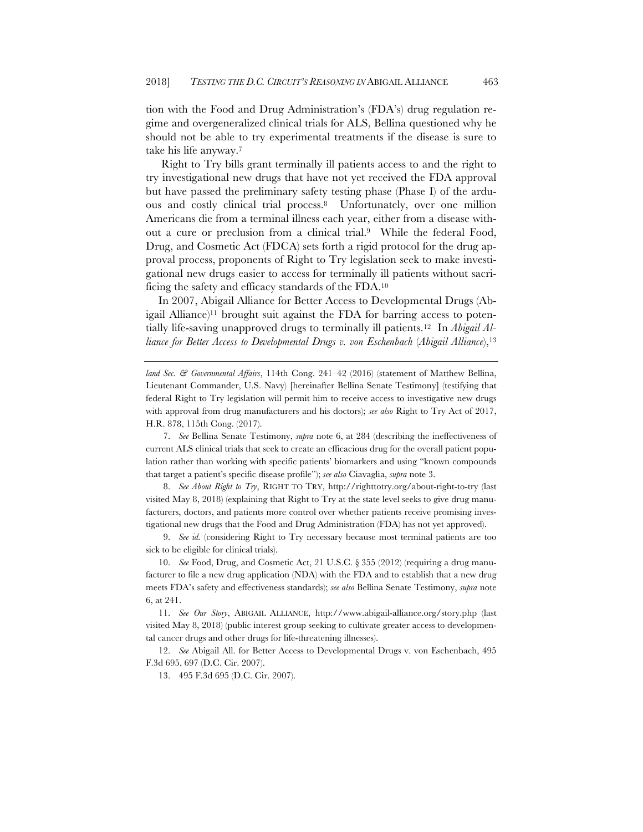tion with the Food and Drug Administration's (FDA's) drug regulation regime and overgeneralized clinical trials for ALS, Bellina questioned why he should not be able to try experimental treatments if the disease is sure to take his life anyway.7

Right to Try bills grant terminally ill patients access to and the right to try investigational new drugs that have not yet received the FDA approval but have passed the preliminary safety testing phase (Phase I) of the arduous and costly clinical trial process.8 Unfortunately, over one million Americans die from a terminal illness each year, either from a disease without a cure or preclusion from a clinical trial.9 While the federal Food, Drug, and Cosmetic Act (FDCA) sets forth a rigid protocol for the drug approval process, proponents of Right to Try legislation seek to make investigational new drugs easier to access for terminally ill patients without sacrificing the safety and efficacy standards of the FDA.10

In 2007, Abigail Alliance for Better Access to Developmental Drugs (Abigail Alliance)11 brought suit against the FDA for barring access to potentially life-saving unapproved drugs to terminally ill patients.12 In *Abigail Alliance for Better Access to Developmental Drugs v. von Eschenbach* (*Abigail Alliance*),13

*land Sec. & Governmental Affairs*, 114th Cong. 241–42 (2016) (statement of Matthew Bellina, Lieutenant Commander, U.S. Navy) [hereinafter Bellina Senate Testimony] (testifying that federal Right to Try legislation will permit him to receive access to investigative new drugs with approval from drug manufacturers and his doctors); *see also* Right to Try Act of 2017, H.R. 878, 115th Cong. (2017).

7. *See* Bellina Senate Testimony, *supra* note 6, at 284 (describing the ineffectiveness of current ALS clinical trials that seek to create an efficacious drug for the overall patient population rather than working with specific patients' biomarkers and using "known compounds that target a patient's specific disease profile"); *see also* Ciavaglia, *supra* note 3.

8. *See About Right to Try*, RIGHT TO TRY, http://righttotry.org/about-right-to-try (last visited May 8, 2018) (explaining that Right to Try at the state level seeks to give drug manufacturers, doctors, and patients more control over whether patients receive promising investigational new drugs that the Food and Drug Administration (FDA) has not yet approved).

9. *See id.* (considering Right to Try necessary because most terminal patients are too sick to be eligible for clinical trials).

10. *See* Food, Drug, and Cosmetic Act, 21 U.S.C. § 355 (2012) (requiring a drug manufacturer to file a new drug application (NDA) with the FDA and to establish that a new drug meets FDA's safety and effectiveness standards); *see also* Bellina Senate Testimony, *supra* note 6, at 241.

11. *See Our Story*, ABIGAIL ALLIANCE, http://www.abigail-alliance.org/story.php (last visited May 8, 2018) (public interest group seeking to cultivate greater access to developmental cancer drugs and other drugs for life-threatening illnesses).

12. *See* Abigail All. for Better Access to Developmental Drugs v. von Eschenbach, 495 F.3d 695, 697 (D.C. Cir. 2007).

13. 495 F.3d 695 (D.C. Cir. 2007).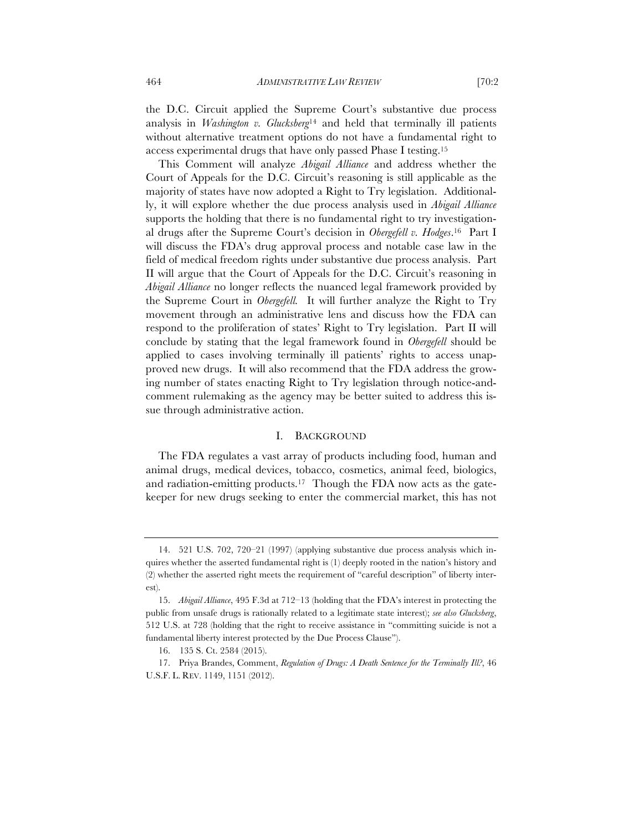the D.C. Circuit applied the Supreme Court's substantive due process analysis in *Washington v. Glucksberg*<sup>14</sup> and held that terminally ill patients without alternative treatment options do not have a fundamental right to access experimental drugs that have only passed Phase I testing.15

This Comment will analyze *Abigail Alliance* and address whether the Court of Appeals for the D.C. Circuit's reasoning is still applicable as the majority of states have now adopted a Right to Try legislation. Additionally, it will explore whether the due process analysis used in *Abigail Alliance*  supports the holding that there is no fundamental right to try investigational drugs after the Supreme Court's decision in *Obergefell v. Hodges*.16 Part I will discuss the FDA's drug approval process and notable case law in the field of medical freedom rights under substantive due process analysis. Part II will argue that the Court of Appeals for the D.C. Circuit's reasoning in *Abigail Alliance* no longer reflects the nuanced legal framework provided by the Supreme Court in *Obergefell.* It will further analyze the Right to Try movement through an administrative lens and discuss how the FDA can respond to the proliferation of states' Right to Try legislation. Part II will conclude by stating that the legal framework found in *Obergefell* should be applied to cases involving terminally ill patients' rights to access unapproved new drugs. It will also recommend that the FDA address the growing number of states enacting Right to Try legislation through notice-andcomment rulemaking as the agency may be better suited to address this issue through administrative action.

#### I. BACKGROUND

The FDA regulates a vast array of products including food, human and animal drugs, medical devices, tobacco, cosmetics, animal feed, biologics, and radiation-emitting products.<sup>17</sup> Though the FDA now acts as the gatekeeper for new drugs seeking to enter the commercial market, this has not

<sup>14.</sup> 521 U.S. 702, 720–21 (1997) (applying substantive due process analysis which inquires whether the asserted fundamental right is (1) deeply rooted in the nation's history and (2) whether the asserted right meets the requirement of "careful description" of liberty interest).

<sup>15.</sup> *Abigail Alliance*, 495 F.3d at 712–13 (holding that the FDA's interest in protecting the public from unsafe drugs is rationally related to a legitimate state interest); *see also Glucksberg*, 512 U.S. at 728 (holding that the right to receive assistance in "committing suicide is not a fundamental liberty interest protected by the Due Process Clause").

<sup>16.</sup> 135 S. Ct. 2584 (2015).

<sup>17.</sup> Priya Brandes, Comment, *Regulation of Drugs: A Death Sentence for the Terminally Ill?*, 46 U.S.F. L. REV. 1149, 1151 (2012).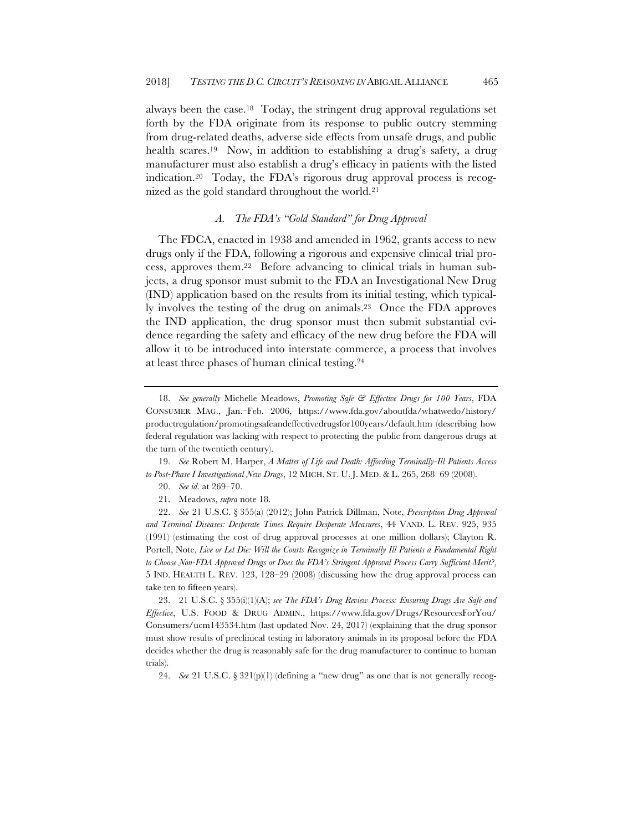always been the case.18 Today, the stringent drug approval regulations set forth by the FDA originate from its response to public outcry stemming from drug-related deaths, adverse side effects from unsafe drugs, and public health scares.<sup>19</sup> Now, in addition to establishing a drug's safety, a drug manufacturer must also establish a drug's efficacy in patients with the listed indication.20 Today, the FDA's rigorous drug approval process is recognized as the gold standard throughout the world.21

# *A. The FDA's "Gold Standard" for Drug Approval*

The FDCA, enacted in 1938 and amended in 1962, grants access to new drugs only if the FDA, following a rigorous and expensive clinical trial process, approves them.22 Before advancing to clinical trials in human subjects, a drug sponsor must submit to the FDA an Investigational New Drug (IND) application based on the results from its initial testing, which typically involves the testing of the drug on animals.23 Once the FDA approves the IND application, the drug sponsor must then submit substantial evidence regarding the safety and efficacy of the new drug before the FDA will allow it to be introduced into interstate commerce, a process that involves at least three phases of human clinical testing.24

19. *See* Robert M. Harper, *A Matter of Life and Death: Affording Terminally-Ill Patients Access to Post-Phase I Investigational New Drugs*, 12 MICH. ST. U. J. MED. & L. 265, 268–69 (2008).

21. Meadows, *supra* note 18.

23. 21 U.S.C. § 355(i)(1)(A); *see The FDA's Drug Review Process: Ensuring Drugs Are Safe and Effective*, U.S. FOOD & DRUG ADMIN., https://www.fda.gov/Drugs/ResourcesForYou/ Consumers/ucm143534.htm (last updated Nov. 24, 2017) (explaining that the drug sponsor must show results of preclinical testing in laboratory animals in its proposal before the FDA decides whether the drug is reasonably safe for the drug manufacturer to continue to human trials).

24. *See* 21 U.S.C. § 321(p)(1) (defining a "new drug" as one that is not generally recog-

<sup>18.</sup> *See generally* Michelle Meadows, *Promoting Safe & Effective Drugs for 100 Years*, FDA CONSUMER MAG., Jan.–Feb. 2006, https://www.fda.gov/aboutfda/whatwedo/history/ productregulation/promotingsafeandeffectivedrugsfor100years/default.htm (describing how federal regulation was lacking with respect to protecting the public from dangerous drugs at the turn of the twentieth century).

<sup>20.</sup> *See id.* at 269–70.

<sup>22.</sup> *See* 21 U.S.C. § 355(a) (2012); John Patrick Dillman, Note, *Prescription Drug Approval and Terminal Diseases: Desperate Times Require Desperate Measures*, 44 VAND. L. REV. 925, 935 (1991) (estimating the cost of drug approval processes at one million dollars); Clayton R. Portell, Note, *Live or Let Die: Will the Courts Recognize in Terminally Ill Patients a Fundamental Right to Choose Non-FDA Approved Drugs or Does the FDA's Stringent Approval Process Carry Sufficient Merit?*, 5 IND. HEALTH L. REV. 123, 128–29 (2008) (discussing how the drug approval process can take ten to fifteen years).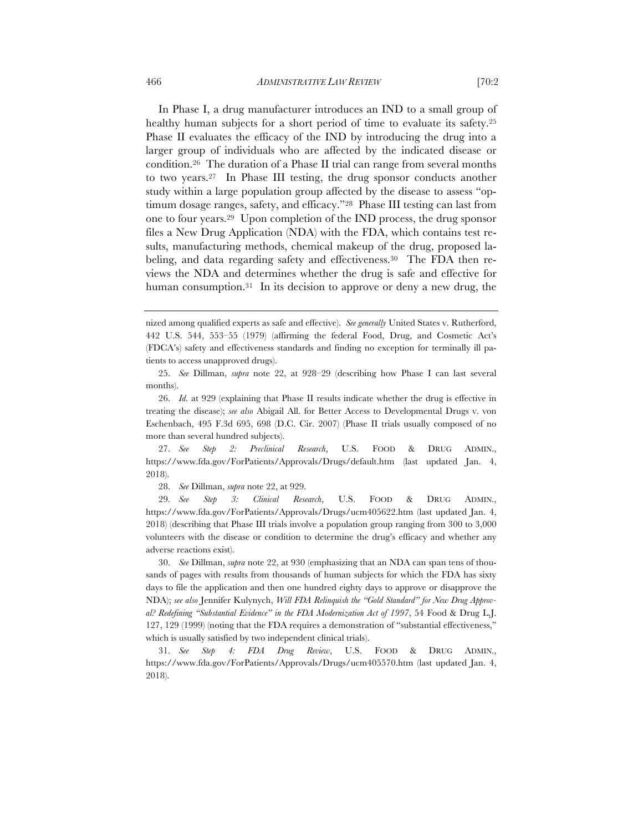In Phase I, a drug manufacturer introduces an IND to a small group of healthy human subjects for a short period of time to evaluate its safety.<sup>25</sup> Phase II evaluates the efficacy of the IND by introducing the drug into a larger group of individuals who are affected by the indicated disease or condition.26 The duration of a Phase II trial can range from several months to two years.27 In Phase III testing, the drug sponsor conducts another study within a large population group affected by the disease to assess "optimum dosage ranges, safety, and efficacy."28 Phase III testing can last from one to four years.29 Upon completion of the IND process, the drug sponsor files a New Drug Application (NDA) with the FDA, which contains test results, manufacturing methods, chemical makeup of the drug, proposed labeling, and data regarding safety and effectiveness.<sup>30</sup> The FDA then reviews the NDA and determines whether the drug is safe and effective for human consumption.<sup>31</sup> In its decision to approve or deny a new drug, the

27. *See Step 2: Preclinical Research*, U.S. FOOD & DRUG ADMIN., https://www.fda.gov/ForPatients/Approvals/Drugs/default.htm (last updated Jan. 4, 2018).

28. *See* Dillman, *supra* note 22, at 929.

29. *See Step 3: Clinical Research*, U.S. FOOD & DRUG ADMIN., https://www.fda.gov/ForPatients/Approvals/Drugs/ucm405622.htm (last updated Jan. 4, 2018) (describing that Phase III trials involve a population group ranging from 300 to 3,000 volunteers with the disease or condition to determine the drug's efficacy and whether any adverse reactions exist).

30. *See* Dillman, *supra* note 22, at 930 (emphasizing that an NDA can span tens of thousands of pages with results from thousands of human subjects for which the FDA has sixty days to file the application and then one hundred eighty days to approve or disapprove the NDA); *see also* Jennifer Kulynych, *Will FDA Relinquish the "Gold Standard" for New Drug Approval? Redefining "Substantial Evidence" in the FDA Modernization Act of 1997*, 54 Food & Drug L.J. 127, 129 (1999) (noting that the FDA requires a demonstration of "substantial effectiveness," which is usually satisfied by two independent clinical trials).

31. *See Step 4: FDA Drug Review*, U.S. FOOD & DRUG ADMIN., https://www.fda.gov/ForPatients/Approvals/Drugs/ucm405570.htm (last updated Jan. 4, 2018).

nized among qualified experts as safe and effective). *See generally* United States v. Rutherford, 442 U.S. 544, 553–55 (1979) (affirming the federal Food, Drug, and Cosmetic Act's (FDCA's) safety and effectiveness standards and finding no exception for terminally ill patients to access unapproved drugs).

<sup>25.</sup> *See* Dillman, *supra* note 22, at 928–29 (describing how Phase I can last several months).

<sup>26.</sup> *Id.* at 929 (explaining that Phase II results indicate whether the drug is effective in treating the disease); *see also* Abigail All. for Better Access to Developmental Drugs v. von Eschenbach, 495 F.3d 695, 698 (D.C. Cir. 2007) (Phase II trials usually composed of no more than several hundred subjects).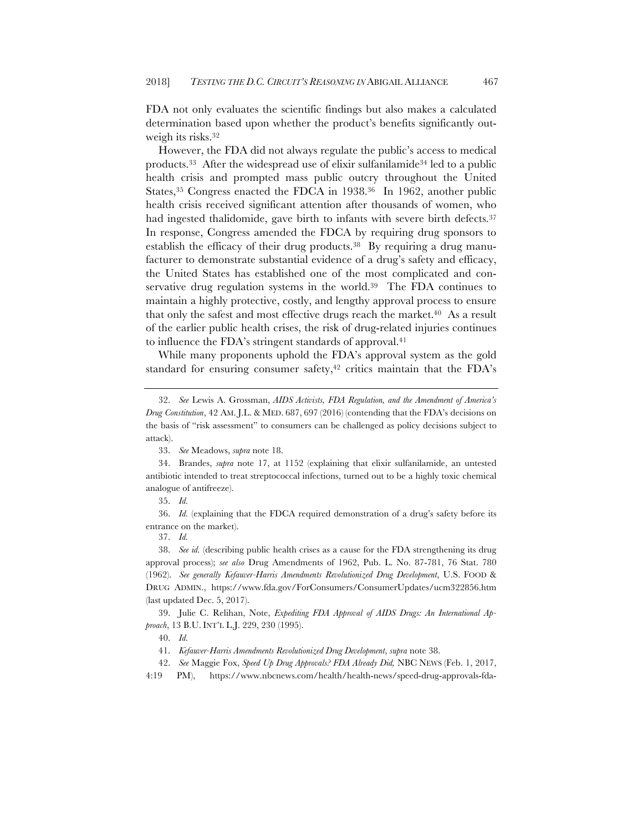FDA not only evaluates the scientific findings but also makes a calculated determination based upon whether the product's benefits significantly outweigh its risks.32

However, the FDA did not always regulate the public's access to medical products.33 After the widespread use of elixir sulfanilamide34 led to a public health crisis and prompted mass public outcry throughout the United States,<sup>35</sup> Congress enacted the FDCA in 1938.<sup>36</sup> In 1962, another public health crisis received significant attention after thousands of women, who had ingested thalidomide, gave birth to infants with severe birth defects.<sup>37</sup> In response, Congress amended the FDCA by requiring drug sponsors to establish the efficacy of their drug products.38 By requiring a drug manufacturer to demonstrate substantial evidence of a drug's safety and efficacy, the United States has established one of the most complicated and conservative drug regulation systems in the world.<sup>39</sup> The FDA continues to maintain a highly protective, costly, and lengthy approval process to ensure that only the safest and most effective drugs reach the market.40 As a result of the earlier public health crises, the risk of drug-related injuries continues to influence the FDA's stringent standards of approval.41

While many proponents uphold the FDA's approval system as the gold standard for ensuring consumer safety, $42$  critics maintain that the FDA's

36. *Id.* (explaining that the FDCA required demonstration of a drug's safety before its entrance on the market).

37. *Id.*

39. Julie C. Relihan, Note, *Expediting FDA Approval of AIDS Drugs: An International Approach*, 13 B.U. INT'L L.J. 229, 230 (1995).

4:19 PM), https://www.nbcnews.com/health/health-news/speed-drug-approvals-fda-

<sup>32.</sup> *See* Lewis A. Grossman, *AIDS Activists, FDA Regulation, and the Amendment of America's Drug Constitution*, 42 AM. J.L. & MED. 687, 697 (2016) (contending that the FDA's decisions on the basis of "risk assessment" to consumers can be challenged as policy decisions subject to attack).

<sup>33.</sup> *See* Meadows, *supra* note 18.

<sup>34.</sup> Brandes, *supra* note 17, at 1152 (explaining that elixir sulfanilamide, an untested antibiotic intended to treat streptococcal infections, turned out to be a highly toxic chemical analogue of antifreeze).

<sup>35.</sup> *Id.*

<sup>38.</sup> *See id.* (describing public health crises as a cause for the FDA strengthening its drug approval process); *see also* Drug Amendments of 1962, Pub. L. No. 87-781, 76 Stat. 780 (1962). *See generally Kefauver-Harris Amendments Revolutionized Drug Development*, U.S. FOOD & DRUG ADMIN., https://www.fda.gov/ForConsumers/ConsumerUpdates/ucm322856.htm (last updated Dec. 5, 2017).

<sup>40.</sup> *Id.* 

<sup>41.</sup> *Kefauver-Harris Amendments Revolutionized Drug Development*, *supra* note 38.

<sup>42.</sup> *See* Maggie Fox, *Speed Up Drug Approvals? FDA Already Did,* NBC NEWS (Feb. 1, 2017,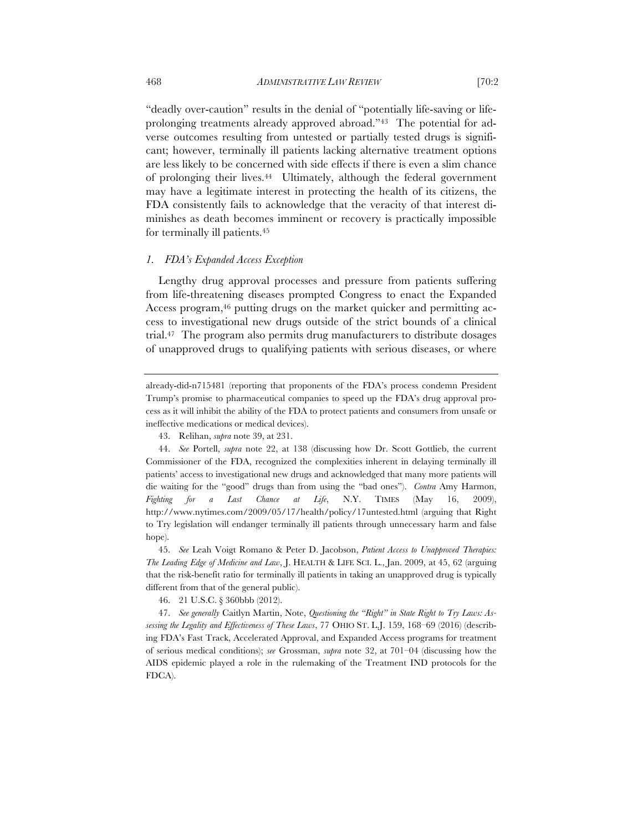"deadly over-caution" results in the denial of "potentially life-saving or lifeprolonging treatments already approved abroad."43 The potential for adverse outcomes resulting from untested or partially tested drugs is significant; however, terminally ill patients lacking alternative treatment options are less likely to be concerned with side effects if there is even a slim chance of prolonging their lives.44 Ultimately, although the federal government may have a legitimate interest in protecting the health of its citizens, the FDA consistently fails to acknowledge that the veracity of that interest diminishes as death becomes imminent or recovery is practically impossible for terminally ill patients.45

#### *1. FDA's Expanded Access Exception*

Lengthy drug approval processes and pressure from patients suffering from life-threatening diseases prompted Congress to enact the Expanded Access program,<sup>46</sup> putting drugs on the market quicker and permitting access to investigational new drugs outside of the strict bounds of a clinical trial.47 The program also permits drug manufacturers to distribute dosages of unapproved drugs to qualifying patients with serious diseases, or where

45. *See* Leah Voigt Romano & Peter D. Jacobson, *Patient Access to Unapproved Therapies: The Leading Edge of Medicine and Law*, J. HEALTH & LIFE SCI. L., Jan. 2009, at 45, 62 (arguing that the risk-benefit ratio for terminally ill patients in taking an unapproved drug is typically different from that of the general public).

46. 21 U.S.C. § 360bbb (2012).

47. *See generally* Caitlyn Martin, Note, *Questioning the "Right" in State Right to Try Laws: Assessing the Legality and Effectiveness of These Laws*, 77 OHIO ST. L.J. 159, 168–69 (2016) (describing FDA's Fast Track, Accelerated Approval, and Expanded Access programs for treatment of serious medical conditions); *see* Grossman, *supra* note 32, at 701–04 (discussing how the AIDS epidemic played a role in the rulemaking of the Treatment IND protocols for the FDCA).

already-did-n715481 (reporting that proponents of the FDA's process condemn President Trump's promise to pharmaceutical companies to speed up the FDA's drug approval process as it will inhibit the ability of the FDA to protect patients and consumers from unsafe or ineffective medications or medical devices).

<sup>43.</sup> Relihan, *supra* note 39, at 231.

<sup>44.</sup> *See* Portell, *supra* note 22, at 138 (discussing how Dr. Scott Gottlieb, the current Commissioner of the FDA, recognized the complexities inherent in delaying terminally ill patients' access to investigational new drugs and acknowledged that many more patients will die waiting for the "good" drugs than from using the "bad ones"). *Contra* Amy Harmon, *Fighting for a Last Chance at Life*, N.Y. TIMES (May 16, 2009), http://www.nytimes.com/2009/05/17/health/policy/17untested.html (arguing that Right to Try legislation will endanger terminally ill patients through unnecessary harm and false hope).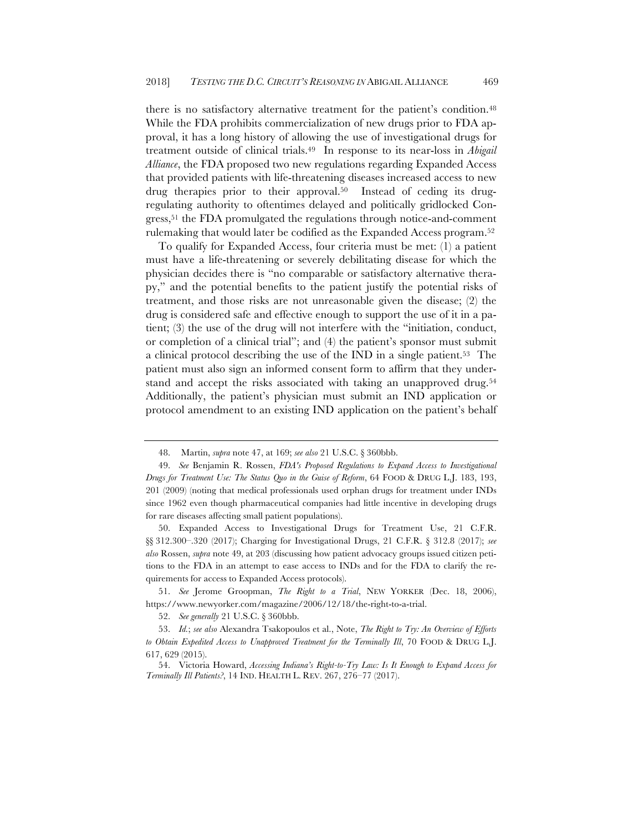there is no satisfactory alternative treatment for the patient's condition.<sup>48</sup> While the FDA prohibits commercialization of new drugs prior to FDA approval, it has a long history of allowing the use of investigational drugs for treatment outside of clinical trials.49 In response to its near-loss in *Abigail Alliance*, the FDA proposed two new regulations regarding Expanded Access that provided patients with life-threatening diseases increased access to new drug therapies prior to their approval.<sup>50</sup> Instead of ceding its drugregulating authority to oftentimes delayed and politically gridlocked Congress,51 the FDA promulgated the regulations through notice-and-comment rulemaking that would later be codified as the Expanded Access program.52

To qualify for Expanded Access, four criteria must be met: (1) a patient must have a life-threatening or severely debilitating disease for which the physician decides there is "no comparable or satisfactory alternative therapy," and the potential benefits to the patient justify the potential risks of treatment, and those risks are not unreasonable given the disease; (2) the drug is considered safe and effective enough to support the use of it in a patient; (3) the use of the drug will not interfere with the "initiation, conduct, or completion of a clinical trial"; and (4) the patient's sponsor must submit a clinical protocol describing the use of the IND in a single patient.53 The patient must also sign an informed consent form to affirm that they understand and accept the risks associated with taking an unapproved drug.54 Additionally, the patient's physician must submit an IND application or protocol amendment to an existing IND application on the patient's behalf

<sup>48.</sup> Martin, *supra* note 47, at 169; *see also* 21 U.S.C. § 360bbb.

<sup>49.</sup> *See* Benjamin R. Rossen, *FDA's Proposed Regulations to Expand Access to Investigational Drugs for Treatment Use: The Status Quo in the Guise of Reform*, 64 FOOD & DRUG L.J. 183, 193, 201 (2009) (noting that medical professionals used orphan drugs for treatment under INDs since 1962 even though pharmaceutical companies had little incentive in developing drugs for rare diseases affecting small patient populations).

<sup>50.</sup> Expanded Access to Investigational Drugs for Treatment Use, 21 C.F.R. §§ 312.300–.320 (2017); Charging for Investigational Drugs, 21 C.F.R. § 312.8 (2017); *see also* Rossen, *supra* note 49, at 203 (discussing how patient advocacy groups issued citizen petitions to the FDA in an attempt to ease access to INDs and for the FDA to clarify the requirements for access to Expanded Access protocols).

<sup>51.</sup> *See* Jerome Groopman, *The Right to a Trial*, NEW YORKER (Dec. 18, 2006), https://www.newyorker.com/magazine/2006/12/18/the-right-to-a-trial.

<sup>52.</sup> *See generally* 21 U.S.C. § 360bbb.

<sup>53.</sup> *Id.*; *see also* Alexandra Tsakopoulos et al., Note, *The Right to Try: An Overview of Efforts to Obtain Expedited Access to Unapproved Treatment for the Terminally Ill*, 70 FOOD & DRUG L.J. 617, 629 (2015).

<sup>54.</sup> Victoria Howard, *Accessing Indiana's Right-to-Try Law: Is It Enough to Expand Access for Terminally Ill Patients?*, 14 IND. HEALTH L. REV. 267, 276–77 (2017).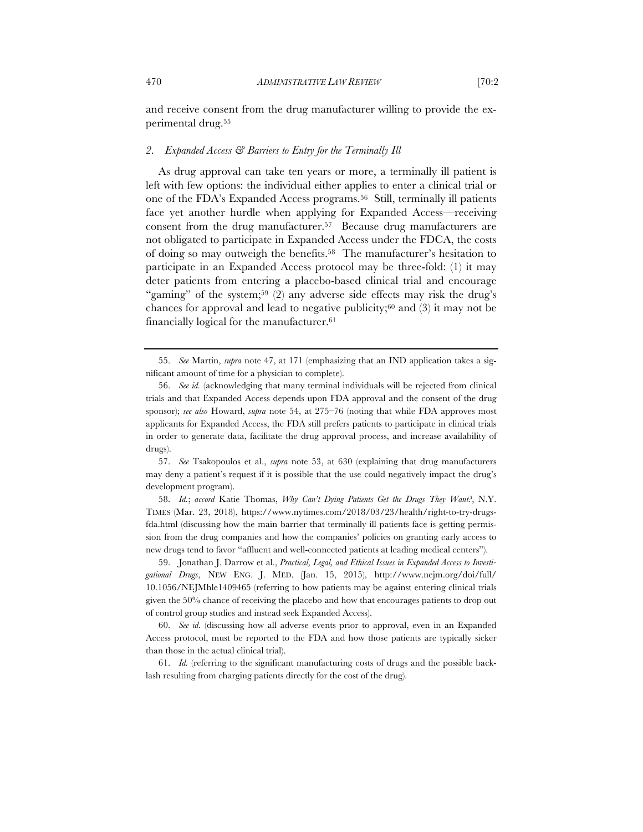and receive consent from the drug manufacturer willing to provide the experimental drug.55

# *2. Expanded Access & Barriers to Entry for the Terminally Ill*

As drug approval can take ten years or more, a terminally ill patient is left with few options: the individual either applies to enter a clinical trial or one of the FDA's Expanded Access programs.56 Still, terminally ill patients face yet another hurdle when applying for Expanded Access—receiving consent from the drug manufacturer.57 Because drug manufacturers are not obligated to participate in Expanded Access under the FDCA, the costs of doing so may outweigh the benefits.58 The manufacturer's hesitation to participate in an Expanded Access protocol may be three-fold: (1) it may deter patients from entering a placebo-based clinical trial and encourage "gaming" of the system;<sup>59</sup> (2) any adverse side effects may risk the drug's chances for approval and lead to negative publicity;<sup>60</sup> and  $(3)$  it may not be financially logical for the manufacturer.61

<sup>55.</sup> *See* Martin, *supra* note 47, at 171 (emphasizing that an IND application takes a significant amount of time for a physician to complete).

<sup>56.</sup> *See id.* (acknowledging that many terminal individuals will be rejected from clinical trials and that Expanded Access depends upon FDA approval and the consent of the drug sponsor); *see also* Howard, *supra* note 54, at 275–76 (noting that while FDA approves most applicants for Expanded Access, the FDA still prefers patients to participate in clinical trials in order to generate data, facilitate the drug approval process, and increase availability of drugs).

<sup>57.</sup> *See* Tsakopoulos et al., *supra* note 53, at 630 (explaining that drug manufacturers may deny a patient's request if it is possible that the use could negatively impact the drug's development program).

<sup>58.</sup> *Id.*; *accord* Katie Thomas, *Why Can't Dying Patients Get the Drugs They Want?*, N.Y. TIMES (Mar. 23, 2018), https://www.nytimes.com/2018/03/23/health/right-to-try-drugsfda.html (discussing how the main barrier that terminally ill patients face is getting permission from the drug companies and how the companies' policies on granting early access to new drugs tend to favor "affluent and well-connected patients at leading medical centers").

<sup>59.</sup> Jonathan J. Darrow et al., *Practical, Legal, and Ethical Issues in Expanded Access to Investigational Drugs*, NEW ENG. J. MED. (Jan. 15, 2015), http://www.nejm.org/doi/full/ 10.1056/NEJMhle1409465 (referring to how patients may be against entering clinical trials given the 50% chance of receiving the placebo and how that encourages patients to drop out of control group studies and instead seek Expanded Access).

<sup>60.</sup> *See id.* (discussing how all adverse events prior to approval, even in an Expanded Access protocol, must be reported to the FDA and how those patients are typically sicker than those in the actual clinical trial).

<sup>61.</sup> *Id.* (referring to the significant manufacturing costs of drugs and the possible backlash resulting from charging patients directly for the cost of the drug).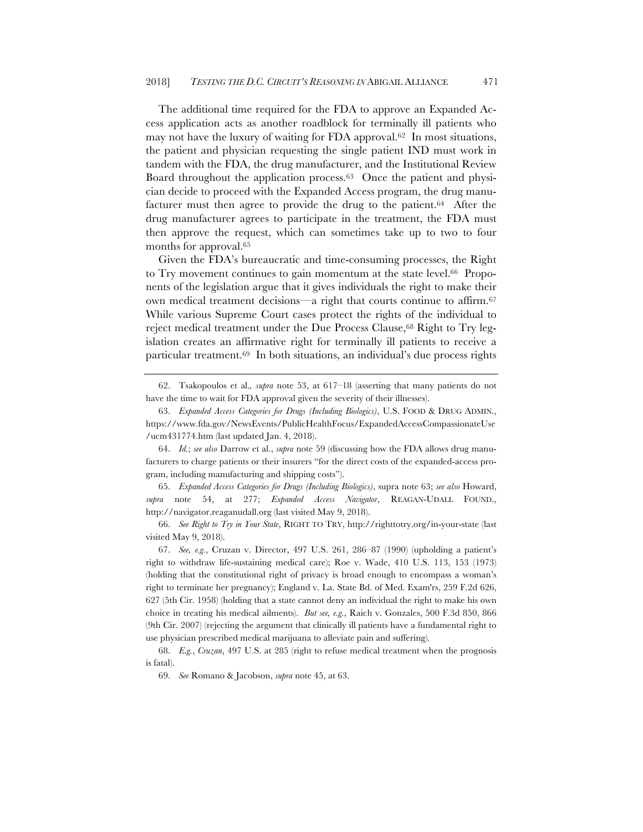The additional time required for the FDA to approve an Expanded Access application acts as another roadblock for terminally ill patients who may not have the luxury of waiting for FDA approval.62 In most situations, the patient and physician requesting the single patient IND must work in tandem with the FDA, the drug manufacturer, and the Institutional Review Board throughout the application process.63 Once the patient and physician decide to proceed with the Expanded Access program, the drug manufacturer must then agree to provide the drug to the patient.64 After the drug manufacturer agrees to participate in the treatment, the FDA must then approve the request, which can sometimes take up to two to four months for approval.<sup>65</sup>

Given the FDA's bureaucratic and time-consuming processes, the Right to Try movement continues to gain momentum at the state level.<sup>66</sup> Proponents of the legislation argue that it gives individuals the right to make their own medical treatment decisions—a right that courts continue to affirm.67 While various Supreme Court cases protect the rights of the individual to reject medical treatment under the Due Process Clause,<sup>68</sup> Right to Try legislation creates an affirmative right for terminally ill patients to receive a particular treatment.69 In both situations, an individual's due process rights

65. *Expanded Access Categories for Drugs (Including Biologics)*, supra note 63; *see also* Howard, *supra* note 54, at 277; *Expanded Access Navigator*, REAGAN-UDALL FOUND., http://navigator.reaganudall.org (last visited May 9, 2018).

66. *See Right to Try in Your State*, RIGHT TO TRY, http://righttotry.org/in-your-state (last visited May 9, 2018).

67. *See, e.g.*, Cruzan v. Director, 497 U.S. 261, 286–87 (1990) (upholding a patient's right to withdraw life-sustaining medical care); Roe v. Wade, 410 U.S. 113, 153 (1973) (holding that the constitutional right of privacy is broad enough to encompass a woman's right to terminate her pregnancy); England v. La. State Bd. of Med. Exam'rs, 259 F.2d 626, 627 (5th Cir. 1958) (holding that a state cannot deny an individual the right to make his own choice in treating his medical ailments). *But see, e.g.*, Raich v. Gonzales, 500 F.3d 850, 866 (9th Cir. 2007) (rejecting the argument that clinically ill patients have a fundamental right to use physician prescribed medical marijuana to alleviate pain and suffering).

69. *See* Romano & Jacobson, *supra* note 45, at 63.

<sup>62.</sup> Tsakopoulos et al.*, supra* note 53, at 617–18 (asserting that many patients do not have the time to wait for FDA approval given the severity of their illnesses).

<sup>63.</sup> *Expanded Access Categories for Drugs (Including Biologics)*, U.S. FOOD & DRUG ADMIN., https://www.fda.gov/NewsEvents/PublicHealthFocus/ExpandedAccessCompassionateUse /ucm431774.htm (last updated Jan. 4, 2018).

<sup>64.</sup> *Id.*; *see also* Darrow et al., *supra* note 59 (discussing how the FDA allows drug manufacturers to charge patients or their insurers "for the direct costs of the expanded-access program, including manufacturing and shipping costs").

<sup>68.</sup> *E.g.*, *Cruzan*, 497 U.S. at 285 (right to refuse medical treatment when the prognosis is fatal).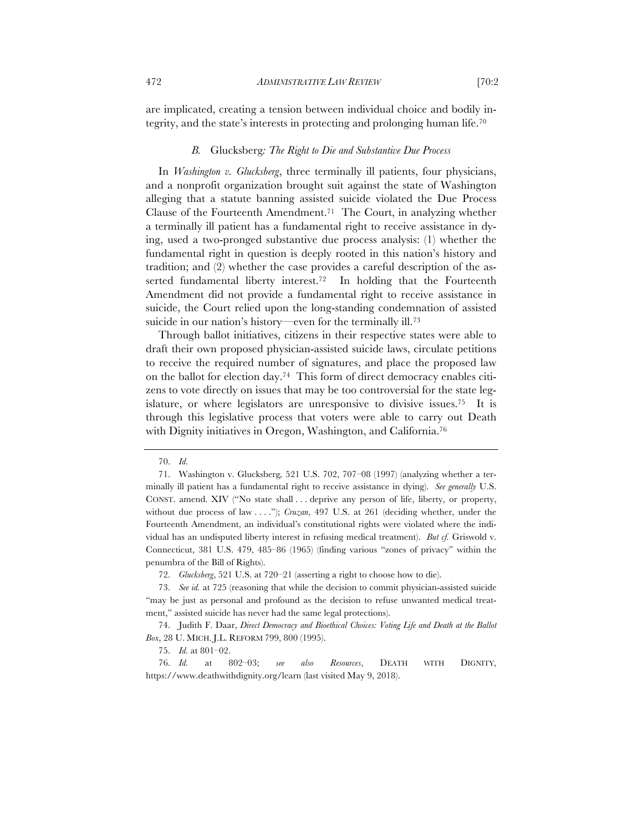are implicated, creating a tension between individual choice and bodily integrity, and the state's interests in protecting and prolonging human life.70

#### *B.* Glucksberg*: The Right to Die and Substantive Due Process*

In *Washington v. Glucksberg*, three terminally ill patients, four physicians, and a nonprofit organization brought suit against the state of Washington alleging that a statute banning assisted suicide violated the Due Process Clause of the Fourteenth Amendment.71 The Court, in analyzing whether a terminally ill patient has a fundamental right to receive assistance in dying, used a two-pronged substantive due process analysis: (1) whether the fundamental right in question is deeply rooted in this nation's history and tradition; and (2) whether the case provides a careful description of the asserted fundamental liberty interest.<sup>72</sup> In holding that the Fourteenth Amendment did not provide a fundamental right to receive assistance in suicide, the Court relied upon the long-standing condemnation of assisted suicide in our nation's history—even for the terminally ill.<sup>73</sup>

Through ballot initiatives, citizens in their respective states were able to draft their own proposed physician-assisted suicide laws, circulate petitions to receive the required number of signatures, and place the proposed law on the ballot for election day.74 This form of direct democracy enables citizens to vote directly on issues that may be too controversial for the state legislature, or where legislators are unresponsive to divisive issues.75 It is through this legislative process that voters were able to carry out Death with Dignity initiatives in Oregon, Washington, and California.<sup>76</sup>

72. *Glucksberg*, 521 U.S. at 720–21 (asserting a right to choose how to die).

<sup>70.</sup> *Id.*

<sup>71.</sup> Washington v. Glucksberg*,* 521 U.S. 702, 707–08 (1997) (analyzing whether a terminally ill patient has a fundamental right to receive assistance in dying). *See generally* U.S. CONST. amend. XIV ("No state shall . . . deprive any person of life, liberty, or property, without due process of law . . . ."); *Cruzan*, 497 U.S. at 261 (deciding whether, under the Fourteenth Amendment, an individual's constitutional rights were violated where the individual has an undisputed liberty interest in refusing medical treatment). *But cf.* Griswold v. Connecticut, 381 U.S. 479, 485–86 (1965) (finding various "zones of privacy" within the penumbra of the Bill of Rights).

<sup>73.</sup> *See id.* at 725 (reasoning that while the decision to commit physician-assisted suicide "may be just as personal and profound as the decision to refuse unwanted medical treatment," assisted suicide has never had the same legal protections).

<sup>74.</sup> Judith F. Daar, *Direct Democracy and Bioethical Choices: Voting Life and Death at the Ballot Box*, 28 U. MICH. J.L. REFORM 799, 800 (1995).

<sup>75.</sup> *Id.* at 801–02.

<sup>76.</sup> *Id.* at 802–03; *see also Resources*, DEATH WITH DIGNITY, https://www.deathwithdignity.org/learn (last visited May 9, 2018).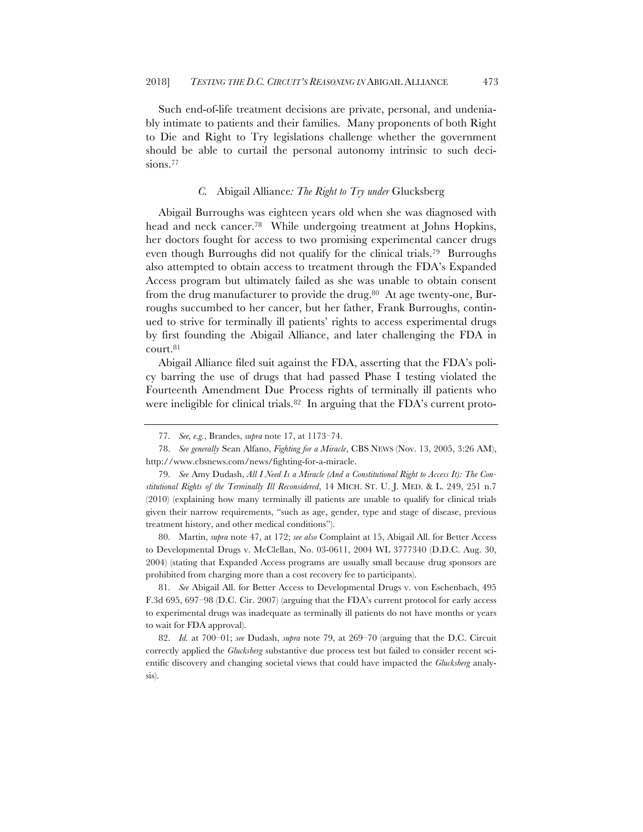Such end-of-life treatment decisions are private, personal, and undeniably intimate to patients and their families. Many proponents of both Right to Die and Right to Try legislations challenge whether the government should be able to curtail the personal autonomy intrinsic to such decisions.<sup>77</sup>

# *C.* Abigail Alliance*: The Right to Try under* Glucksberg

Abigail Burroughs was eighteen years old when she was diagnosed with head and neck cancer.<sup>78</sup> While undergoing treatment at Johns Hopkins, her doctors fought for access to two promising experimental cancer drugs even though Burroughs did not qualify for the clinical trials.79 Burroughs also attempted to obtain access to treatment through the FDA's Expanded Access program but ultimately failed as she was unable to obtain consent from the drug manufacturer to provide the drug.<sup>80</sup> At age twenty-one, Burroughs succumbed to her cancer, but her father, Frank Burroughs, continued to strive for terminally ill patients' rights to access experimental drugs by first founding the Abigail Alliance, and later challenging the FDA in court.81

Abigail Alliance filed suit against the FDA, asserting that the FDA's policy barring the use of drugs that had passed Phase I testing violated the Fourteenth Amendment Due Process rights of terminally ill patients who were ineligible for clinical trials.<sup>82</sup> In arguing that the FDA's current proto-

79. *See* Amy Dudash, *All I Need Is a Miracle (And a Constitutional Right to Access It): The Constitutional Rights of the Terminally Ill Reconsidered*, 14 MICH. ST. U. J. MED. & L. 249, 251 n.7 (2010) (explaining how many terminally ill patients are unable to qualify for clinical trials given their narrow requirements, "such as age, gender, type and stage of disease, previous treatment history, and other medical conditions").

80. Martin, *supra* note 47, at 172; *see also* Complaint at 15, Abigail All. for Better Access to Developmental Drugs v. McClellan, No. 03-0611, 2004 WL 3777340 (D.D.C. Aug. 30, 2004) (stating that Expanded Access programs are usually small because drug sponsors are prohibited from charging more than a cost recovery fee to participants).

81. *See* Abigail All. for Better Access to Developmental Drugs v. von Eschenbach, 495 F.3d 695, 697–98 (D.C. Cir. 2007) (arguing that the FDA's current protocol for early access to experimental drugs was inadequate as terminally ill patients do not have months or years to wait for FDA approval).

82. *Id.* at 700–01; *see* Dudash, *supra* note 79, at 269–70 (arguing that the D.C. Circuit correctly applied the *Glucksberg* substantive due process test but failed to consider recent scientific discovery and changing societal views that could have impacted the *Glucksberg* analysis).

<sup>77.</sup> *See, e.g.*, Brandes, *supra* note 17, at 1173–74.

<sup>78.</sup> *See generally* Sean Alfano, *Fighting for a Miracle*, CBS NEWS (Nov. 13, 2005, 3:26 AM), http://www.cbsnews.com/news/fighting-for-a-miracle.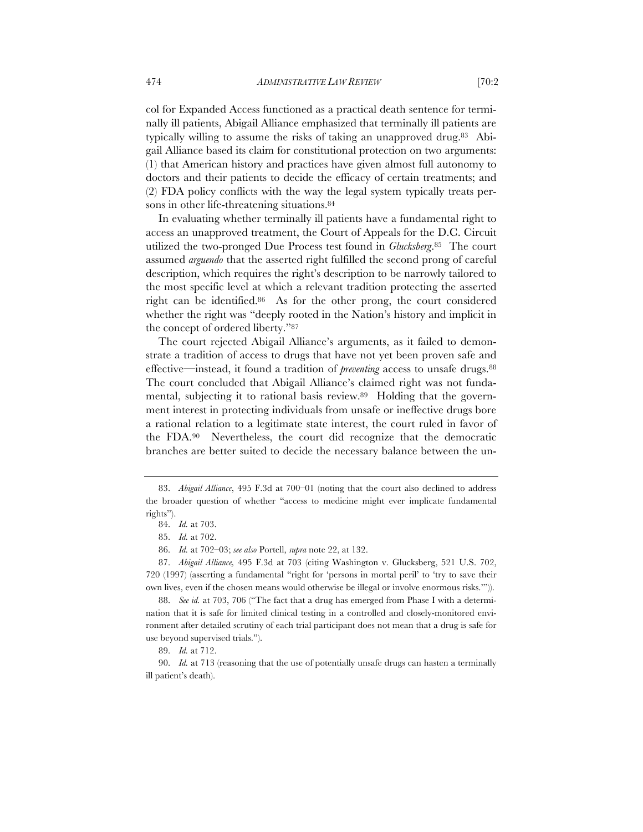col for Expanded Access functioned as a practical death sentence for terminally ill patients, Abigail Alliance emphasized that terminally ill patients are typically willing to assume the risks of taking an unapproved drug.83 Abigail Alliance based its claim for constitutional protection on two arguments: (1) that American history and practices have given almost full autonomy to doctors and their patients to decide the efficacy of certain treatments; and (2) FDA policy conflicts with the way the legal system typically treats persons in other life-threatening situations.<sup>84</sup>

In evaluating whether terminally ill patients have a fundamental right to access an unapproved treatment, the Court of Appeals for the D.C. Circuit utilized the two-pronged Due Process test found in *Glucksberg*.85 The court assumed *arguendo* that the asserted right fulfilled the second prong of careful description, which requires the right's description to be narrowly tailored to the most specific level at which a relevant tradition protecting the asserted right can be identified.86 As for the other prong, the court considered whether the right was "deeply rooted in the Nation's history and implicit in the concept of ordered liberty."87

The court rejected Abigail Alliance's arguments, as it failed to demonstrate a tradition of access to drugs that have not yet been proven safe and effective—instead, it found a tradition of *preventing* access to unsafe drugs.88 The court concluded that Abigail Alliance's claimed right was not fundamental, subjecting it to rational basis review.89 Holding that the government interest in protecting individuals from unsafe or ineffective drugs bore a rational relation to a legitimate state interest, the court ruled in favor of the FDA.90 Nevertheless, the court did recognize that the democratic branches are better suited to decide the necessary balance between the un-

<sup>83.</sup> *Abigail Alliance*, 495 F.3d at 700–01 (noting that the court also declined to address the broader question of whether "access to medicine might ever implicate fundamental rights").

<sup>84.</sup> *Id.* at 703.

<sup>85.</sup> *Id.* at 702.

<sup>86.</sup> *Id.* at 702–03; *see also* Portell, *supra* note 22, at 132.

<sup>87.</sup> *Abigail Alliance,* 495 F.3d at 703 (citing Washington v. Glucksberg, 521 U.S. 702, 720 (1997) (asserting a fundamental "right for 'persons in mortal peril' to 'try to save their own lives, even if the chosen means would otherwise be illegal or involve enormous risks.'")).

<sup>88.</sup> *See id.* at 703, 706 ("The fact that a drug has emerged from Phase I with a determination that it is safe for limited clinical testing in a controlled and closely-monitored environment after detailed scrutiny of each trial participant does not mean that a drug is safe for use beyond supervised trials.").

<sup>89.</sup> *Id.* at 712.

<sup>90.</sup> *Id.* at 713 (reasoning that the use of potentially unsafe drugs can hasten a terminally ill patient's death).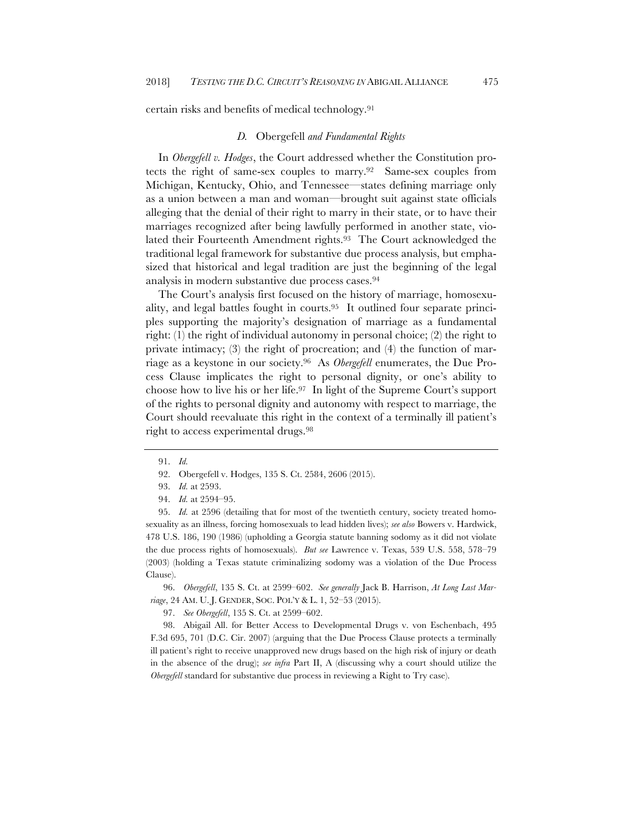certain risks and benefits of medical technology.91

#### *D.* Obergefell *and Fundamental Rights*

In *Obergefell v. Hodges*, the Court addressed whether the Constitution protects the right of same-sex couples to marry.92 Same-sex couples from Michigan, Kentucky, Ohio, and Tennessee—states defining marriage only as a union between a man and woman—brought suit against state officials alleging that the denial of their right to marry in their state, or to have their marriages recognized after being lawfully performed in another state, violated their Fourteenth Amendment rights.<sup>93</sup> The Court acknowledged the traditional legal framework for substantive due process analysis, but emphasized that historical and legal tradition are just the beginning of the legal analysis in modern substantive due process cases.94

The Court's analysis first focused on the history of marriage, homosexuality, and legal battles fought in courts.95 It outlined four separate principles supporting the majority's designation of marriage as a fundamental right: (1) the right of individual autonomy in personal choice; (2) the right to private intimacy; (3) the right of procreation; and (4) the function of marriage as a keystone in our society.96 As *Obergefell* enumerates, the Due Process Clause implicates the right to personal dignity, or one's ability to choose how to live his or her life.97 In light of the Supreme Court's support of the rights to personal dignity and autonomy with respect to marriage, the Court should reevaluate this right in the context of a terminally ill patient's right to access experimental drugs.98

92. Obergefell v. Hodges, 135 S. Ct. 2584, 2606 (2015).

94. *Id.* at 2594–95.

95. *Id.* at 2596 (detailing that for most of the twentieth century, society treated homosexuality as an illness, forcing homosexuals to lead hidden lives); *see also* Bowers v. Hardwick, 478 U.S. 186, 190 (1986) (upholding a Georgia statute banning sodomy as it did not violate the due process rights of homosexuals). *But see* Lawrence v. Texas, 539 U.S. 558, 578–79 (2003) (holding a Texas statute criminalizing sodomy was a violation of the Due Process Clause).

96. *Obergefell*, 135 S. Ct. at 2599–602. *See generally* Jack B. Harrison, *At Long Last Marriage*, 24 AM. U. J. GENDER, SOC. POL'Y & L. 1, 52–53 (2015).

97. *See Obergefell*, 135 S. Ct. at 2599–602.

98. Abigail All. for Better Access to Developmental Drugs v. von Eschenbach, 495 F.3d 695, 701 (D.C. Cir. 2007) (arguing that the Due Process Clause protects a terminally ill patient's right to receive unapproved new drugs based on the high risk of injury or death in the absence of the drug); *see infra* Part II, A (discussing why a court should utilize the *Obergefell* standard for substantive due process in reviewing a Right to Try case).

<sup>91.</sup> *Id.*

<sup>93.</sup> *Id.* at 2593.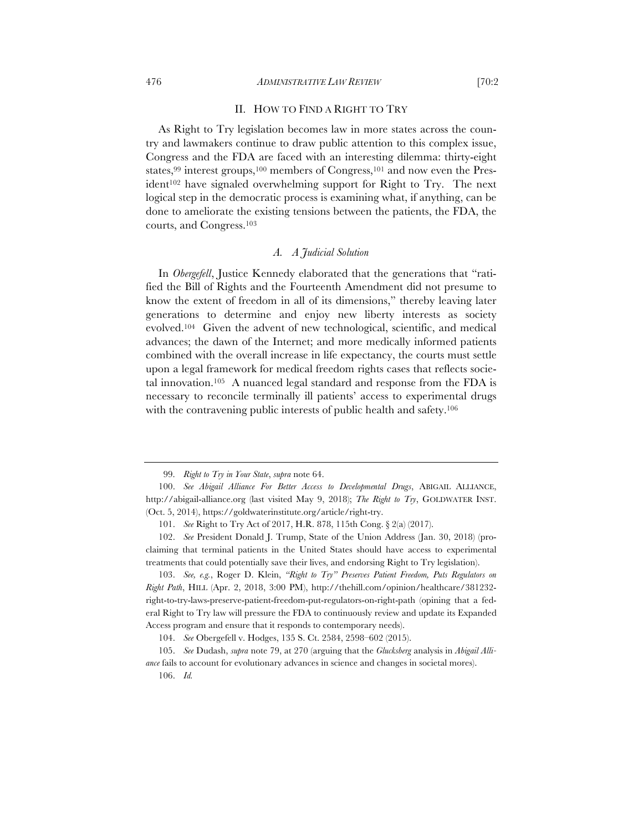#### 476 *ADMINISTRATIVE LAW REVIEW* [70:2

## II. HOW TO FIND A RIGHT TO TRY

As Right to Try legislation becomes law in more states across the country and lawmakers continue to draw public attention to this complex issue, Congress and the FDA are faced with an interesting dilemma: thirty-eight states,<sup>99</sup> interest groups,<sup>100</sup> members of Congress,<sup>101</sup> and now even the President<sup>102</sup> have signaled overwhelming support for Right to Try. The next logical step in the democratic process is examining what, if anything, can be done to ameliorate the existing tensions between the patients, the FDA, the courts, and Congress.103

#### *A. A Judicial Solution*

In *Obergefell*, Justice Kennedy elaborated that the generations that "ratified the Bill of Rights and the Fourteenth Amendment did not presume to know the extent of freedom in all of its dimensions," thereby leaving later generations to determine and enjoy new liberty interests as society evolved.104 Given the advent of new technological, scientific, and medical advances; the dawn of the Internet; and more medically informed patients combined with the overall increase in life expectancy, the courts must settle upon a legal framework for medical freedom rights cases that reflects societal innovation.105 A nuanced legal standard and response from the FDA is necessary to reconcile terminally ill patients' access to experimental drugs with the contravening public interests of public health and safety.<sup>106</sup>

103. *See, e.g.*, Roger D. Klein, *"Right to Try" Preserves Patient Freedom, Puts Regulators on Right Path*, HILL (Apr. 2, 2018, 3:00 PM), http://thehill.com/opinion/healthcare/381232 right-to-try-laws-preserve-patient-freedom-put-regulators-on-right-path (opining that a federal Right to Try law will pressure the FDA to continuously review and update its Expanded Access program and ensure that it responds to contemporary needs).

<sup>99.</sup> *Right to Try in Your State*, *supra* note 64.

<sup>100.</sup> *See Abigail Alliance For Better Access to Developmental Drugs*, ABIGAIL ALLIANCE, http://abigail-alliance.org (last visited May 9, 2018); *The Right to Try*, GOLDWATER INST. (Oct. 5, 2014), https://goldwaterinstitute.org/article/right-try.

<sup>101.</sup> *See* Right to Try Act of 2017, H.R. 878, 115th Cong. § 2(a) (2017).

<sup>102.</sup> *See* President Donald J. Trump, State of the Union Address (Jan. 30, 2018) (proclaiming that terminal patients in the United States should have access to experimental treatments that could potentially save their lives, and endorsing Right to Try legislation).

<sup>104.</sup> *See* Obergefell v. Hodges, 135 S. Ct. 2584, 2598–602 (2015).

<sup>105.</sup> *See* Dudash, *supra* note 79, at 270 (arguing that the *Glucksberg* analysis in *Abigail Alliance* fails to account for evolutionary advances in science and changes in societal mores).

<sup>106.</sup> *Id.*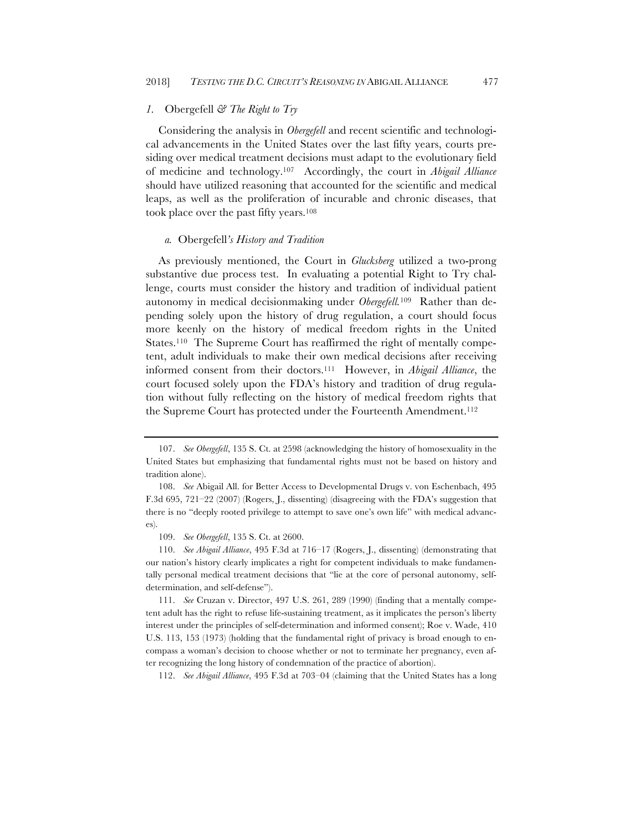# *1.* Obergefell *& The Right to Try*

Considering the analysis in *Obergefell* and recent scientific and technological advancements in the United States over the last fifty years, courts presiding over medical treatment decisions must adapt to the evolutionary field of medicine and technology.107 Accordingly, the court in *Abigail Alliance*  should have utilized reasoning that accounted for the scientific and medical leaps, as well as the proliferation of incurable and chronic diseases, that took place over the past fifty years.108

#### *a.* Obergefell*'s History and Tradition*

As previously mentioned, the Court in *Glucksberg* utilized a two-prong substantive due process test. In evaluating a potential Right to Try challenge, courts must consider the history and tradition of individual patient autonomy in medical decisionmaking under *Obergefell.*109 Rather than depending solely upon the history of drug regulation, a court should focus more keenly on the history of medical freedom rights in the United States.<sup>110</sup> The Supreme Court has reaffirmed the right of mentally competent, adult individuals to make their own medical decisions after receiving informed consent from their doctors.111 However, in *Abigail Alliance*, the court focused solely upon the FDA's history and tradition of drug regulation without fully reflecting on the history of medical freedom rights that the Supreme Court has protected under the Fourteenth Amendment.112

109. *See Obergefell*, 135 S. Ct. at 2600.

110. *See Abigail Alliance*, 495 F.3d at 716–17 (Rogers, J., dissenting) (demonstrating that our nation's history clearly implicates a right for competent individuals to make fundamentally personal medical treatment decisions that "lie at the core of personal autonomy, selfdetermination, and self-defense").

111. *See* Cruzan v. Director, 497 U.S. 261, 289 (1990) (finding that a mentally competent adult has the right to refuse life-sustaining treatment, as it implicates the person's liberty interest under the principles of self-determination and informed consent); Roe v. Wade, 410 U.S. 113, 153 (1973) (holding that the fundamental right of privacy is broad enough to encompass a woman's decision to choose whether or not to terminate her pregnancy, even after recognizing the long history of condemnation of the practice of abortion).

112. *See Abigail Alliance*, 495 F.3d at 703–04 (claiming that the United States has a long

<sup>107.</sup> *See Obergefell*, 135 S. Ct. at 2598 (acknowledging the history of homosexuality in the United States but emphasizing that fundamental rights must not be based on history and tradition alone).

<sup>108.</sup> *See* Abigail All. for Better Access to Developmental Drugs v. von Eschenbach, 495 F.3d 695, 721–22 (2007) (Rogers, J., dissenting) (disagreeing with the FDA's suggestion that there is no "deeply rooted privilege to attempt to save one's own life" with medical advances).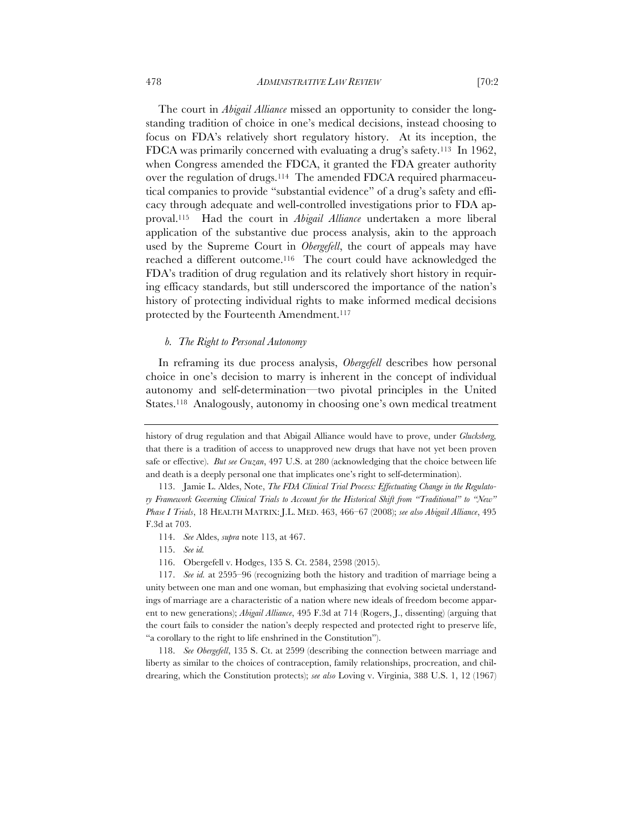The court in *Abigail Alliance* missed an opportunity to consider the longstanding tradition of choice in one's medical decisions, instead choosing to focus on FDA's relatively short regulatory history. At its inception, the FDCA was primarily concerned with evaluating a drug's safety.113 In 1962, when Congress amended the FDCA, it granted the FDA greater authority over the regulation of drugs.114 The amended FDCA required pharmaceutical companies to provide "substantial evidence" of a drug's safety and efficacy through adequate and well-controlled investigations prior to FDA approval.115 Had the court in *Abigail Alliance* undertaken a more liberal application of the substantive due process analysis, akin to the approach used by the Supreme Court in *Obergefell*, the court of appeals may have reached a different outcome.116 The court could have acknowledged the FDA's tradition of drug regulation and its relatively short history in requiring efficacy standards, but still underscored the importance of the nation's history of protecting individual rights to make informed medical decisions protected by the Fourteenth Amendment.117

# *b. The Right to Personal Autonomy*

In reframing its due process analysis, *Obergefell* describes how personal choice in one's decision to marry is inherent in the concept of individual autonomy and self-determination—two pivotal principles in the United States.118 Analogously, autonomy in choosing one's own medical treatment

114. *See* Aldes, *supra* note 113, at 467.

115. *See id.*

116. Obergefell v. Hodges, 135 S. Ct. 2584, 2598 (2015).

117. *See id.* at 2595–96 (recognizing both the history and tradition of marriage being a unity between one man and one woman, but emphasizing that evolving societal understandings of marriage are a characteristic of a nation where new ideals of freedom become apparent to new generations); *Abigail Alliance*, 495 F.3d at 714 (Rogers, J., dissenting) (arguing that the court fails to consider the nation's deeply respected and protected right to preserve life, "a corollary to the right to life enshrined in the Constitution").

118. *See Obergefell*, 135 S. Ct. at 2599 (describing the connection between marriage and liberty as similar to the choices of contraception, family relationships, procreation, and childrearing, which the Constitution protects); *see also* Loving v. Virginia, 388 U.S. 1, 12 (1967)

history of drug regulation and that Abigail Alliance would have to prove, under *Glucksberg,*  that there is a tradition of access to unapproved new drugs that have not yet been proven safe or effective). *But see Cruzan*, 497 U.S. at 280 (acknowledging that the choice between life and death is a deeply personal one that implicates one's right to self-determination).

<sup>113.</sup> Jamie L. Aldes, Note, *The FDA Clinical Trial Process: Effectuating Change in the Regulatory Framework Governing Clinical Trials to Account for the Historical Shift from "Traditional" to "New" Phase I Trials*, 18 HEALTH MATRIX: J.L. MED. 463, 466–67 (2008); *see also Abigail Alliance*, 495 F.3d at 703.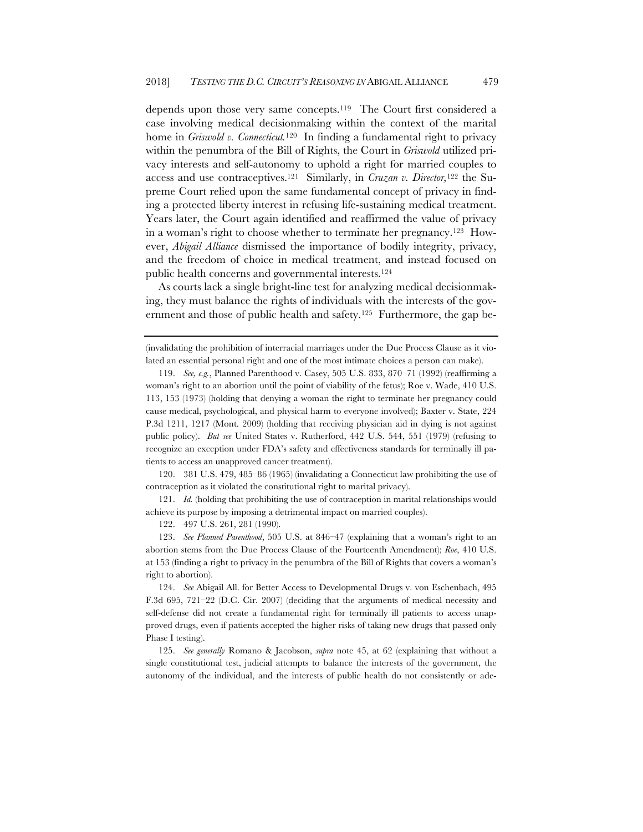depends upon those very same concepts.119 The Court first considered a case involving medical decisionmaking within the context of the marital home in *Griswold v. Connecticut.*<sup>120</sup>In finding a fundamental right to privacy within the penumbra of the Bill of Rights, the Court in *Griswold* utilized privacy interests and self-autonomy to uphold a right for married couples to access and use contraceptives.121 Similarly, in *Cruzan v. Director,*<sup>122</sup> the Supreme Court relied upon the same fundamental concept of privacy in finding a protected liberty interest in refusing life-sustaining medical treatment. Years later, the Court again identified and reaffirmed the value of privacy in a woman's right to choose whether to terminate her pregnancy.123 However, *Abigail Alliance* dismissed the importance of bodily integrity, privacy, and the freedom of choice in medical treatment, and instead focused on public health concerns and governmental interests.124

As courts lack a single bright-line test for analyzing medical decisionmaking, they must balance the rights of individuals with the interests of the government and those of public health and safety.<sup>125</sup> Furthermore, the gap be-

(invalidating the prohibition of interracial marriages under the Due Process Clause as it violated an essential personal right and one of the most intimate choices a person can make).

120. 381 U.S. 479, 485–86 (1965) (invalidating a Connecticut law prohibiting the use of contraception as it violated the constitutional right to marital privacy).

121. *Id.* (holding that prohibiting the use of contraception in marital relationships would achieve its purpose by imposing a detrimental impact on married couples).

122. 497 U.S. 261, 281 (1990).

123. *See Planned Parenthood*, 505 U.S. at 846–47 (explaining that a woman's right to an abortion stems from the Due Process Clause of the Fourteenth Amendment); *Roe*, 410 U.S. at 153 (finding a right to privacy in the penumbra of the Bill of Rights that covers a woman's right to abortion).

124. *See* Abigail All. for Better Access to Developmental Drugs v. von Eschenbach, 495 F.3d 695, 721–22 (D.C. Cir. 2007) (deciding that the arguments of medical necessity and self-defense did not create a fundamental right for terminally ill patients to access unapproved drugs, even if patients accepted the higher risks of taking new drugs that passed only Phase I testing).

125. *See generally* Romano & Jacobson, *supra* note 45, at 62 (explaining that without a single constitutional test, judicial attempts to balance the interests of the government, the autonomy of the individual, and the interests of public health do not consistently or ade-

<sup>119.</sup> *See, e.g.*, Planned Parenthood v. Casey, 505 U.S. 833, 870–71 (1992) (reaffirming a woman's right to an abortion until the point of viability of the fetus); Roe v. Wade, 410 U.S. 113, 153 (1973) (holding that denying a woman the right to terminate her pregnancy could cause medical, psychological, and physical harm to everyone involved); Baxter v. State, 224 P.3d 1211, 1217 (Mont. 2009) (holding that receiving physician aid in dying is not against public policy). *But see* United States v. Rutherford, 442 U.S. 544, 551 (1979) (refusing to recognize an exception under FDA's safety and effectiveness standards for terminally ill patients to access an unapproved cancer treatment).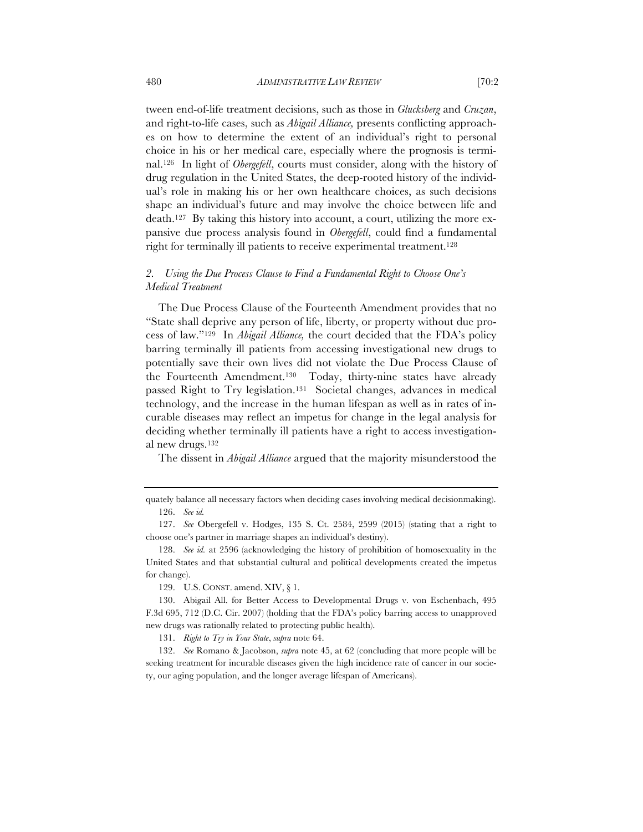tween end-of-life treatment decisions, such as those in *Glucksberg* and *Cruzan*, and right-to-life cases, such as *Abigail Alliance,* presents conflicting approaches on how to determine the extent of an individual's right to personal choice in his or her medical care, especially where the prognosis is terminal.126 In light of *Obergefell*, courts must consider, along with the history of drug regulation in the United States, the deep-rooted history of the individual's role in making his or her own healthcare choices, as such decisions shape an individual's future and may involve the choice between life and death.127 By taking this history into account, a court, utilizing the more expansive due process analysis found in *Obergefell*, could find a fundamental right for terminally ill patients to receive experimental treatment.128

# *2. Using the Due Process Clause to Find a Fundamental Right to Choose One's Medical Treatment*

The Due Process Clause of the Fourteenth Amendment provides that no "State shall deprive any person of life, liberty, or property without due process of law."129 In *Abigail Alliance,* the court decided that the FDA's policy barring terminally ill patients from accessing investigational new drugs to potentially save their own lives did not violate the Due Process Clause of the Fourteenth Amendment.130 Today, thirty-nine states have already passed Right to Try legislation.131 Societal changes, advances in medical technology, and the increase in the human lifespan as well as in rates of incurable diseases may reflect an impetus for change in the legal analysis for deciding whether terminally ill patients have a right to access investigational new drugs.132

The dissent in *Abigail Alliance* argued that the majority misunderstood the

129. U.S. CONST. amend. XIV, § 1.

131. *Right to Try in Your State*, *supra* note 64.

132. *See* Romano & Jacobson, *supra* note 45, at 62 (concluding that more people will be seeking treatment for incurable diseases given the high incidence rate of cancer in our society, our aging population, and the longer average lifespan of Americans).

quately balance all necessary factors when deciding cases involving medical decisionmaking). 126. *See id.*

<sup>127.</sup> *See* Obergefell v. Hodges, 135 S. Ct. 2584, 2599 (2015) (stating that a right to choose one's partner in marriage shapes an individual's destiny).

<sup>128.</sup> *See id.* at 2596 (acknowledging the history of prohibition of homosexuality in the United States and that substantial cultural and political developments created the impetus for change).

<sup>130.</sup> Abigail All. for Better Access to Developmental Drugs v. von Eschenbach, 495 F.3d 695, 712 (D.C. Cir. 2007) (holding that the FDA's policy barring access to unapproved new drugs was rationally related to protecting public health).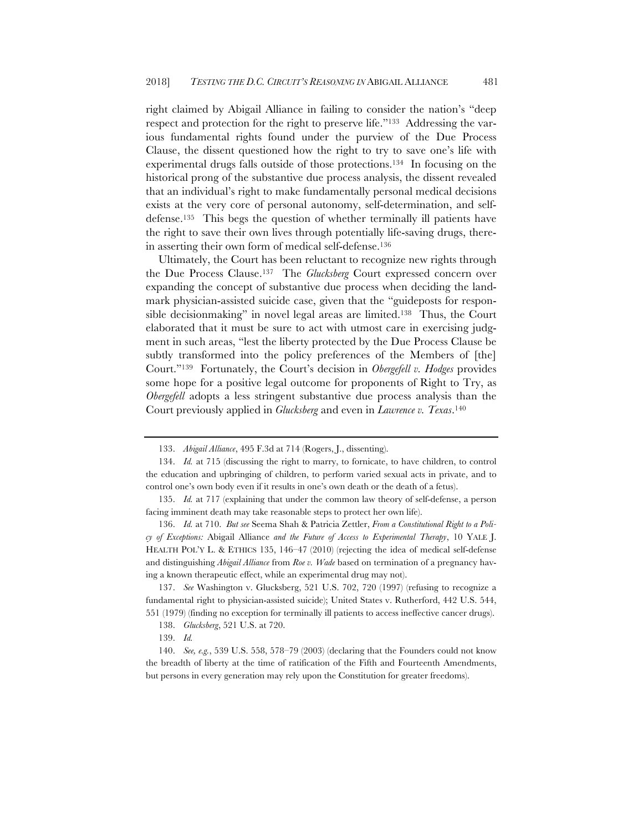right claimed by Abigail Alliance in failing to consider the nation's "deep respect and protection for the right to preserve life."133 Addressing the various fundamental rights found under the purview of the Due Process Clause, the dissent questioned how the right to try to save one's life with experimental drugs falls outside of those protections.134 In focusing on the historical prong of the substantive due process analysis, the dissent revealed that an individual's right to make fundamentally personal medical decisions exists at the very core of personal autonomy, self-determination, and selfdefense.135 This begs the question of whether terminally ill patients have the right to save their own lives through potentially life-saving drugs, therein asserting their own form of medical self-defense.136

Ultimately, the Court has been reluctant to recognize new rights through the Due Process Clause.137 The *Glucksberg* Court expressed concern over expanding the concept of substantive due process when deciding the landmark physician-assisted suicide case, given that the "guideposts for responsible decisionmaking" in novel legal areas are limited.<sup>138</sup> Thus, the Court elaborated that it must be sure to act with utmost care in exercising judgment in such areas, "lest the liberty protected by the Due Process Clause be subtly transformed into the policy preferences of the Members of [the] Court."139 Fortunately, the Court's decision in *Obergefell v. Hodges* provides some hope for a positive legal outcome for proponents of Right to Try, as *Obergefell* adopts a less stringent substantive due process analysis than the Court previously applied in *Glucksberg* and even in *Lawrence v. Texas*.140

<sup>133.</sup> *Abigail Alliance*, 495 F.3d at 714 (Rogers, J., dissenting).

<sup>134.</sup> *Id.* at 715 (discussing the right to marry, to fornicate, to have children, to control the education and upbringing of children, to perform varied sexual acts in private, and to control one's own body even if it results in one's own death or the death of a fetus).

<sup>135.</sup> *Id.* at 717 (explaining that under the common law theory of self-defense, a person facing imminent death may take reasonable steps to protect her own life).

<sup>136.</sup> *Id.* at 710. *But see* Seema Shah & Patricia Zettler, *From a Constitutional Right to a Policy of Exceptions:* Abigail Alliance *and the Future of Access to Experimental Therapy*, 10 YALE J. HEALTH POL'Y L. & ETHICS 135, 146–47 (2010) (rejecting the idea of medical self-defense and distinguishing *Abigail Alliance* from *Roe v. Wade* based on termination of a pregnancy having a known therapeutic effect, while an experimental drug may not).

<sup>137.</sup> *See* Washington v. Glucksberg, 521 U.S. 702, 720 (1997) (refusing to recognize a fundamental right to physician-assisted suicide); United States v. Rutherford, 442 U.S. 544, 551 (1979) (finding no exception for terminally ill patients to access ineffective cancer drugs).

<sup>138.</sup> *Glucksberg*, 521 U.S. at 720.

<sup>139.</sup> *Id.* 

<sup>140.</sup> *See, e.g.*, 539 U.S. 558, 578–79 (2003) (declaring that the Founders could not know the breadth of liberty at the time of ratification of the Fifth and Fourteenth Amendments, but persons in every generation may rely upon the Constitution for greater freedoms).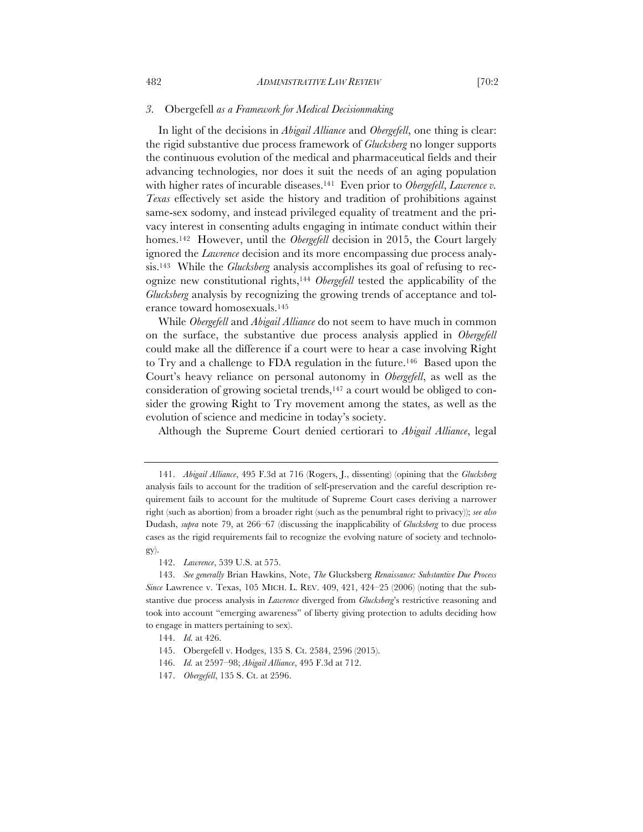#### *3.* Obergefell *as a Framework for Medical Decisionmaking*

In light of the decisions in *Abigail Alliance* and *Obergefell*, one thing is clear: the rigid substantive due process framework of *Glucksberg* no longer supports the continuous evolution of the medical and pharmaceutical fields and their advancing technologies, nor does it suit the needs of an aging population with higher rates of incurable diseases.<sup>141</sup> Even prior to *Obergefell*, *Lawrence v. Texas* effectively set aside the history and tradition of prohibitions against same-sex sodomy, and instead privileged equality of treatment and the privacy interest in consenting adults engaging in intimate conduct within their homes.<sup>142</sup> However, until the *Obergefell* decision in 2015, the Court largely ignored the *Lawrence* decision and its more encompassing due process analysis.143 While the *Glucksberg* analysis accomplishes its goal of refusing to recognize new constitutional rights,144 *Obergefell* tested the applicability of the *Glucksberg* analysis by recognizing the growing trends of acceptance and tolerance toward homosexuals.145

While *Obergefell* and *Abigail Alliance* do not seem to have much in common on the surface, the substantive due process analysis applied in *Obergefell*  could make all the difference if a court were to hear a case involving Right to Try and a challenge to FDA regulation in the future.146 Based upon the Court's heavy reliance on personal autonomy in *Obergefell*, as well as the consideration of growing societal trends, $147$  a court would be obliged to consider the growing Right to Try movement among the states, as well as the evolution of science and medicine in today's society.

Although the Supreme Court denied certiorari to *Abigail Alliance*, legal

<sup>141.</sup> *Abigail Alliance*, 495 F.3d at 716 (Rogers, J., dissenting) (opining that the *Glucksberg*  analysis fails to account for the tradition of self-preservation and the careful description requirement fails to account for the multitude of Supreme Court cases deriving a narrower right (such as abortion) from a broader right (such as the penumbral right to privacy)); *see also*  Dudash, *supra* note 79, at 266–67 (discussing the inapplicability of *Glucksberg* to due process cases as the rigid requirements fail to recognize the evolving nature of society and technology).

<sup>142.</sup> *Lawrence*, 539 U.S. at 575.

<sup>143.</sup> *See generally* Brian Hawkins, Note, *The* Glucksberg *Renaissance: Substantive Due Process Since* Lawrence v. Texas, 105 MICH. L. REV. 409, 421, 424–25 (2006) (noting that the substantive due process analysis in *Lawrence* diverged from *Glucksberg*'s restrictive reasoning and took into account "emerging awareness" of liberty giving protection to adults deciding how to engage in matters pertaining to sex).

<sup>144.</sup> *Id.* at 426.

<sup>145.</sup> Obergefell v. Hodges, 135 S. Ct. 2584, 2596 (2015).

<sup>146.</sup> *Id.* at 2597–98; *Abigail Alliance*, 495 F.3d at 712.

<sup>147.</sup> *Obergefell*, 135 S. Ct. at 2596.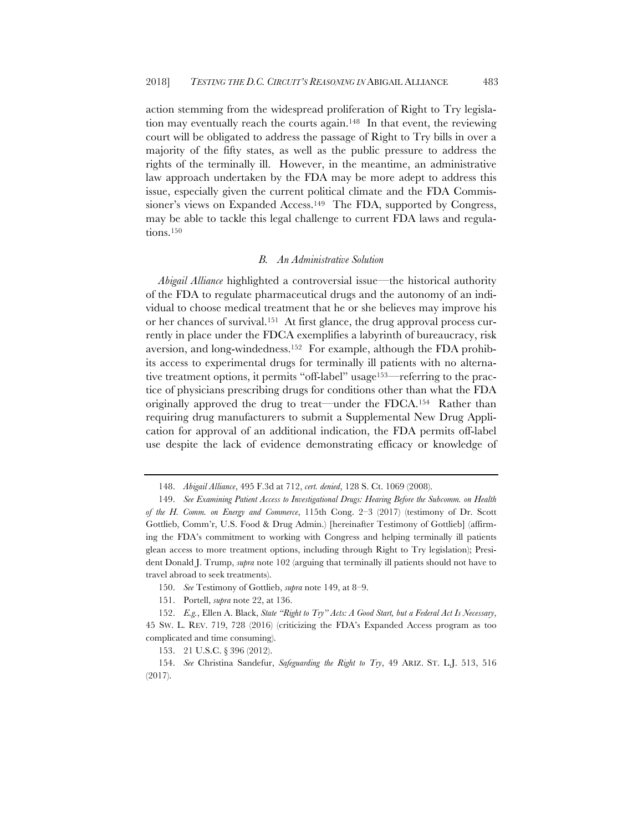action stemming from the widespread proliferation of Right to Try legislation may eventually reach the courts again.148 In that event, the reviewing court will be obligated to address the passage of Right to Try bills in over a majority of the fifty states, as well as the public pressure to address the rights of the terminally ill. However, in the meantime, an administrative law approach undertaken by the FDA may be more adept to address this issue, especially given the current political climate and the FDA Commissioner's views on Expanded Access.<sup>149</sup> The FDA, supported by Congress, may be able to tackle this legal challenge to current FDA laws and regulations.150

#### *B. An Administrative Solution*

*Abigail Alliance* highlighted a controversial issue—the historical authority of the FDA to regulate pharmaceutical drugs and the autonomy of an individual to choose medical treatment that he or she believes may improve his or her chances of survival.151 At first glance, the drug approval process currently in place under the FDCA exemplifies a labyrinth of bureaucracy, risk aversion, and long-windedness.152 For example, although the FDA prohibits access to experimental drugs for terminally ill patients with no alternative treatment options, it permits "off-label" usage153—referring to the practice of physicians prescribing drugs for conditions other than what the FDA originally approved the drug to treat—under the FDCA.154 Rather than requiring drug manufacturers to submit a Supplemental New Drug Application for approval of an additional indication, the FDA permits off-label use despite the lack of evidence demonstrating efficacy or knowledge of

<sup>148.</sup> *Abigail Alliance*, 495 F.3d at 712, *cert. denied*, 128 S. Ct. 1069 (2008).

<sup>149.</sup> *See Examining Patient Access to Investigational Drugs: Hearing Before the Subcomm. on Health of the H. Comm. on Energy and Commerce*, 115th Cong. 2–3 (2017) (testimony of Dr. Scott Gottlieb, Comm'r, U.S. Food & Drug Admin.) [hereinafter Testimony of Gottlieb] (affirming the FDA's commitment to working with Congress and helping terminally ill patients glean access to more treatment options, including through Right to Try legislation); President Donald J. Trump, *supra* note 102 (arguing that terminally ill patients should not have to travel abroad to seek treatments).

<sup>150.</sup> *See* Testimony of Gottlieb, *supra* note 149, at 8–9.

<sup>151.</sup> Portell, *supra* note 22, at 136.

<sup>152.</sup> *E.g.*, Ellen A. Black, *State "Right to Try" Acts: A Good Start, but a Federal Act Is Necessary*, 45 SW. L. REV. 719, 728 (2016) (criticizing the FDA's Expanded Access program as too complicated and time consuming).

<sup>153.</sup> 21 U.S.C. § 396 (2012).

<sup>154.</sup> *See* Christina Sandefur, *Safeguarding the Right to Try*, 49 ARIZ. ST. L.J. 513, 516 (2017).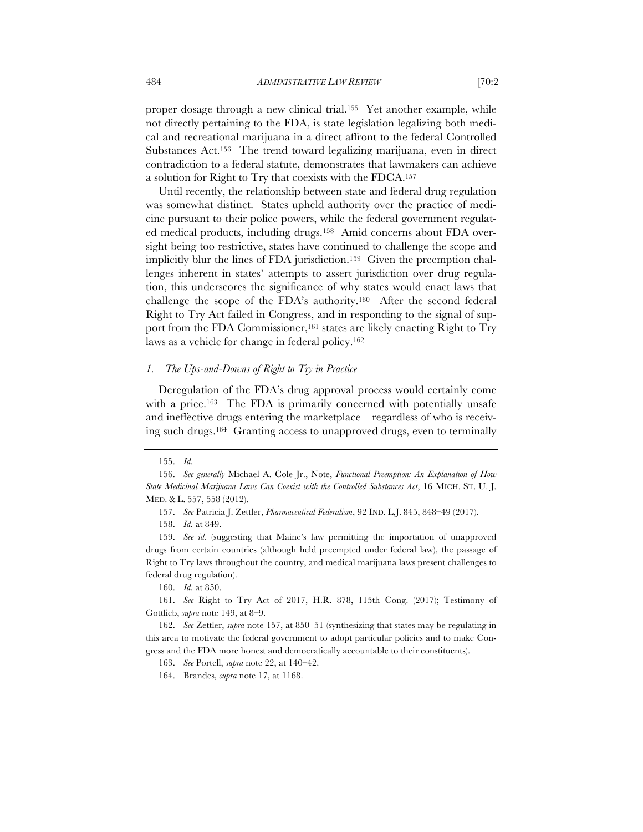proper dosage through a new clinical trial.155 Yet another example, while not directly pertaining to the FDA, is state legislation legalizing both medical and recreational marijuana in a direct affront to the federal Controlled Substances Act.156 The trend toward legalizing marijuana, even in direct contradiction to a federal statute, demonstrates that lawmakers can achieve a solution for Right to Try that coexists with the FDCA.157

Until recently, the relationship between state and federal drug regulation was somewhat distinct. States upheld authority over the practice of medicine pursuant to their police powers, while the federal government regulated medical products, including drugs.158 Amid concerns about FDA oversight being too restrictive, states have continued to challenge the scope and implicitly blur the lines of FDA jurisdiction.159 Given the preemption challenges inherent in states' attempts to assert jurisdiction over drug regulation, this underscores the significance of why states would enact laws that challenge the scope of the FDA's authority.160 After the second federal Right to Try Act failed in Congress, and in responding to the signal of support from the FDA Commissioner,<sup>161</sup> states are likely enacting Right to Try laws as a vehicle for change in federal policy.162

# *1. The Ups-and-Downs of Right to Try in Practice*

Deregulation of the FDA's drug approval process would certainly come with a price.<sup>163</sup> The FDA is primarily concerned with potentially unsafe and ineffective drugs entering the marketplace—regardless of who is receiving such drugs.164 Granting access to unapproved drugs, even to terminally

158. *Id.* at 849.

159. *See id.* (suggesting that Maine's law permitting the importation of unapproved drugs from certain countries (although held preempted under federal law), the passage of Right to Try laws throughout the country, and medical marijuana laws present challenges to federal drug regulation).

160. *Id.* at 850.

163. *See* Portell, *supra* note 22, at 140–42.

164. Brandes, *supra* note 17, at 1168.

<sup>155.</sup> *Id.* 

<sup>156.</sup> *See generally* Michael A. Cole Jr., Note, *Functional Preemption: An Explanation of How State Medicinal Marijuana Laws Can Coexist with the Controlled Substances Act*, 16 MICH. ST. U. J. MED. & L. 557, 558 (2012).

<sup>157.</sup> *See* Patricia J. Zettler, *Pharmaceutical Federalism*, 92 IND. L.J. 845, 848–49 (2017).

<sup>161.</sup> *See* Right to Try Act of 2017, H.R. 878, 115th Cong. (2017); Testimony of Gottlieb, *supra* note 149, at 8–9.

<sup>162.</sup> *See* Zettler, *supra* note 157, at 850–51 (synthesizing that states may be regulating in this area to motivate the federal government to adopt particular policies and to make Congress and the FDA more honest and democratically accountable to their constituents).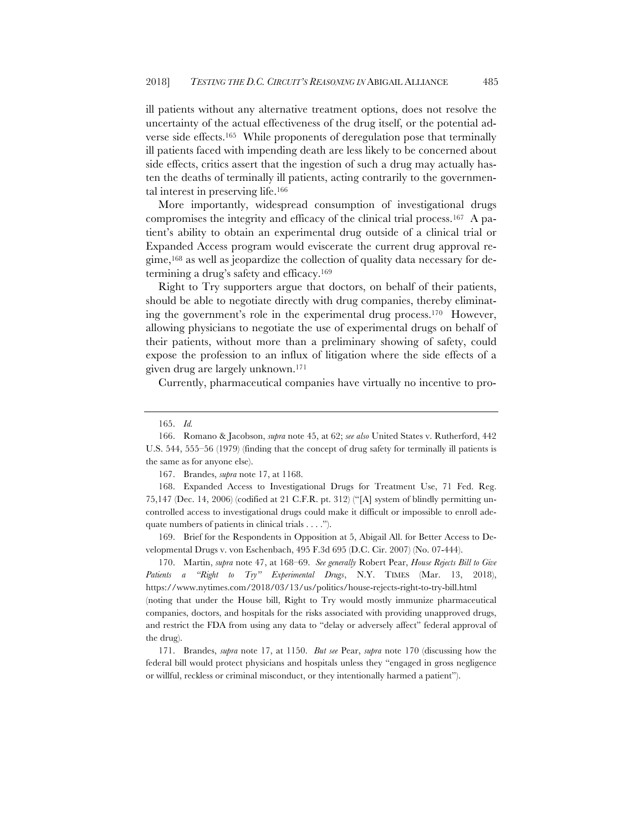ill patients without any alternative treatment options, does not resolve the uncertainty of the actual effectiveness of the drug itself, or the potential adverse side effects.165 While proponents of deregulation pose that terminally ill patients faced with impending death are less likely to be concerned about side effects, critics assert that the ingestion of such a drug may actually hasten the deaths of terminally ill patients, acting contrarily to the governmental interest in preserving life.166

More importantly, widespread consumption of investigational drugs compromises the integrity and efficacy of the clinical trial process.167 A patient's ability to obtain an experimental drug outside of a clinical trial or Expanded Access program would eviscerate the current drug approval regime,168 as well as jeopardize the collection of quality data necessary for determining a drug's safety and efficacy.169

Right to Try supporters argue that doctors, on behalf of their patients, should be able to negotiate directly with drug companies, thereby eliminating the government's role in the experimental drug process.170 However, allowing physicians to negotiate the use of experimental drugs on behalf of their patients, without more than a preliminary showing of safety, could expose the profession to an influx of litigation where the side effects of a given drug are largely unknown.171

Currently, pharmaceutical companies have virtually no incentive to pro-

168. Expanded Access to Investigational Drugs for Treatment Use, 71 Fed. Reg. 75,147 (Dec. 14, 2006) (codified at 21 C.F.R. pt. 312) ("[A] system of blindly permitting uncontrolled access to investigational drugs could make it difficult or impossible to enroll adequate numbers of patients in clinical trials . . . .").

169. Brief for the Respondents in Opposition at 5, Abigail All. for Better Access to Developmental Drugs v. von Eschenbach, 495 F.3d 695 (D.C. Cir. 2007) (No. 07-444).

170. Martin, *supra* note 47, at 168–69. *See generally* Robert Pear, *House Rejects Bill to Give Patients a "Right to Try" Experimental Drugs*, N.Y. TIMES (Mar. 13, 2018), https://www.nytimes.com/2018/03/13/us/politics/house-rejects-right-to-try-bill.html (noting that under the House bill, Right to Try would mostly immunize pharmaceutical companies, doctors, and hospitals for the risks associated with providing unapproved drugs, and restrict the FDA from using any data to "delay or adversely affect" federal approval of the drug).

171. Brandes, *supra* note 17, at 1150. *But see* Pear, *supra* note 170 (discussing how the federal bill would protect physicians and hospitals unless they "engaged in gross negligence or willful, reckless or criminal misconduct, or they intentionally harmed a patient").

<sup>165.</sup> *Id.* 

<sup>166.</sup> Romano & Jacobson, *supra* note 45, at 62; *see also* United States v. Rutherford, 442 U.S. 544, 555–56 (1979) (finding that the concept of drug safety for terminally ill patients is the same as for anyone else).

<sup>167.</sup> Brandes, *supra* note 17, at 1168.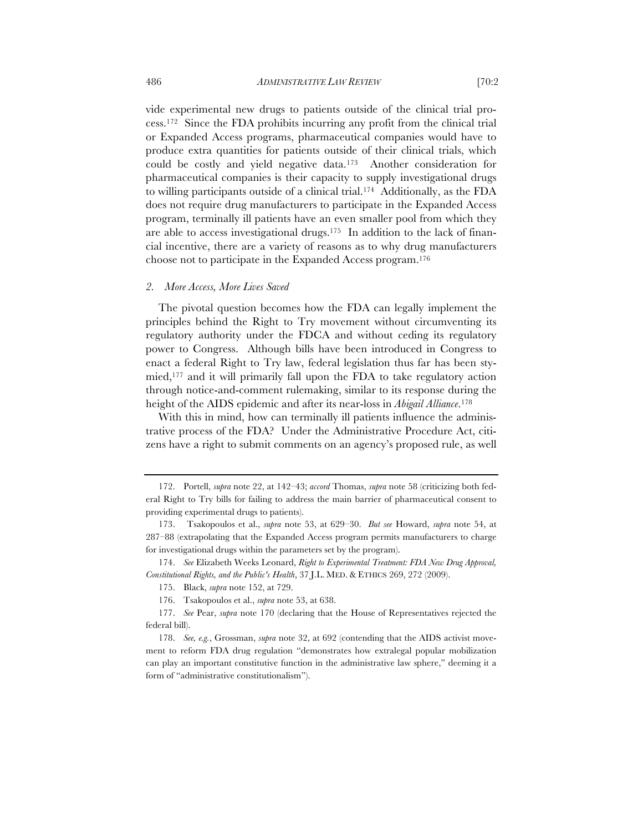vide experimental new drugs to patients outside of the clinical trial process.172 Since the FDA prohibits incurring any profit from the clinical trial or Expanded Access programs, pharmaceutical companies would have to produce extra quantities for patients outside of their clinical trials, which could be costly and yield negative data.173 Another consideration for pharmaceutical companies is their capacity to supply investigational drugs to willing participants outside of a clinical trial.174 Additionally, as the FDA does not require drug manufacturers to participate in the Expanded Access program, terminally ill patients have an even smaller pool from which they are able to access investigational drugs.175 In addition to the lack of financial incentive, there are a variety of reasons as to why drug manufacturers choose not to participate in the Expanded Access program.176

#### *2. More Access, More Lives Saved*

The pivotal question becomes how the FDA can legally implement the principles behind the Right to Try movement without circumventing its regulatory authority under the FDCA and without ceding its regulatory power to Congress. Although bills have been introduced in Congress to enact a federal Right to Try law, federal legislation thus far has been stymied,177 and it will primarily fall upon the FDA to take regulatory action through notice-and-comment rulemaking, similar to its response during the height of the AIDS epidemic and after its near-loss in *Abigail Alliance*.178

With this in mind, how can terminally ill patients influence the administrative process of the FDA? Under the Administrative Procedure Act, citizens have a right to submit comments on an agency's proposed rule, as well

<sup>172.</sup> Portell, *supra* note 22, at 142–43; *accord* Thomas, *supra* note 58 (criticizing both federal Right to Try bills for failing to address the main barrier of pharmaceutical consent to providing experimental drugs to patients).

<sup>173.</sup> Tsakopoulos et al., *supra* note 53, at 629–30. *But see* Howard, *supra* note 54, at 287–88 (extrapolating that the Expanded Access program permits manufacturers to charge for investigational drugs within the parameters set by the program).

<sup>174.</sup> *See* Elizabeth Weeks Leonard, *Right to Experimental Treatment: FDA New Drug Approval, Constitutional Rights, and the Public's Health*, 37 J.L. MED. & ETHICS 269, 272 (2009).

<sup>175.</sup> Black, *supra* note 152, at 729.

<sup>176.</sup> Tsakopoulos et al., *supra* note 53, at 638.

<sup>177.</sup> *See* Pear, *supra* note 170 (declaring that the House of Representatives rejected the federal bill).

<sup>178.</sup> *See, e.g.*, Grossman, *supra* note 32, at 692 (contending that the AIDS activist movement to reform FDA drug regulation "demonstrates how extralegal popular mobilization can play an important constitutive function in the administrative law sphere," deeming it a form of "administrative constitutionalism").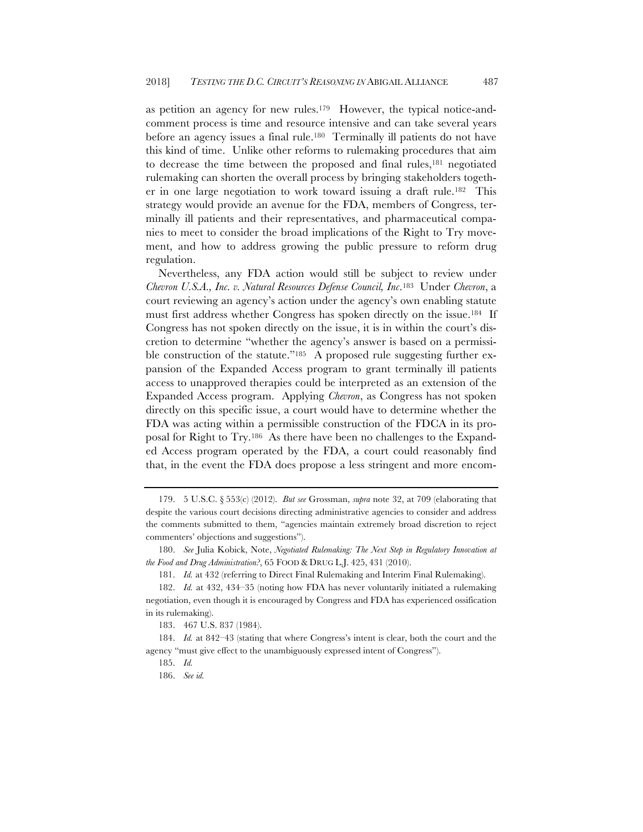as petition an agency for new rules.179 However, the typical notice-andcomment process is time and resource intensive and can take several years before an agency issues a final rule.180 Terminally ill patients do not have this kind of time. Unlike other reforms to rulemaking procedures that aim to decrease the time between the proposed and final rules,181 negotiated rulemaking can shorten the overall process by bringing stakeholders together in one large negotiation to work toward issuing a draft rule.182 This strategy would provide an avenue for the FDA, members of Congress, terminally ill patients and their representatives, and pharmaceutical companies to meet to consider the broad implications of the Right to Try movement, and how to address growing the public pressure to reform drug regulation.

Nevertheless, any FDA action would still be subject to review under *Chevron U.S.A., Inc. v. Natural Resources Defense Council, Inc*.183 Under *Chevron*, a court reviewing an agency's action under the agency's own enabling statute must first address whether Congress has spoken directly on the issue.184 If Congress has not spoken directly on the issue, it is in within the court's discretion to determine "whether the agency's answer is based on a permissible construction of the statute."<sup>185</sup> A proposed rule suggesting further expansion of the Expanded Access program to grant terminally ill patients access to unapproved therapies could be interpreted as an extension of the Expanded Access program. Applying *Chevron*, as Congress has not spoken directly on this specific issue, a court would have to determine whether the FDA was acting within a permissible construction of the FDCA in its proposal for Right to Try.186 As there have been no challenges to the Expanded Access program operated by the FDA, a court could reasonably find that, in the event the FDA does propose a less stringent and more encom-

<sup>179.</sup> 5 U.S.C. § 553(c) (2012). *But see* Grossman, *supra* note 32, at 709 (elaborating that despite the various court decisions directing administrative agencies to consider and address the comments submitted to them, "agencies maintain extremely broad discretion to reject commenters' objections and suggestions").

<sup>180.</sup> *See* Julia Kobick, Note, *Negotiated Rulemaking: The Next Step in Regulatory Innovation at the Food and Drug Administration?*, 65 FOOD & DRUG L.J. 425, 431 (2010).

<sup>181.</sup> *Id.* at 432 (referring to Direct Final Rulemaking and Interim Final Rulemaking).

<sup>182.</sup> *Id.* at 432, 434–35 (noting how FDA has never voluntarily initiated a rulemaking negotiation, even though it is encouraged by Congress and FDA has experienced ossification in its rulemaking).

<sup>183.</sup> 467 U.S. 837 (1984).

<sup>184.</sup> *Id.* at 842–43 (stating that where Congress's intent is clear, both the court and the agency "must give effect to the unambiguously expressed intent of Congress").

<sup>185.</sup> *Id.* 

<sup>186.</sup> *See id.*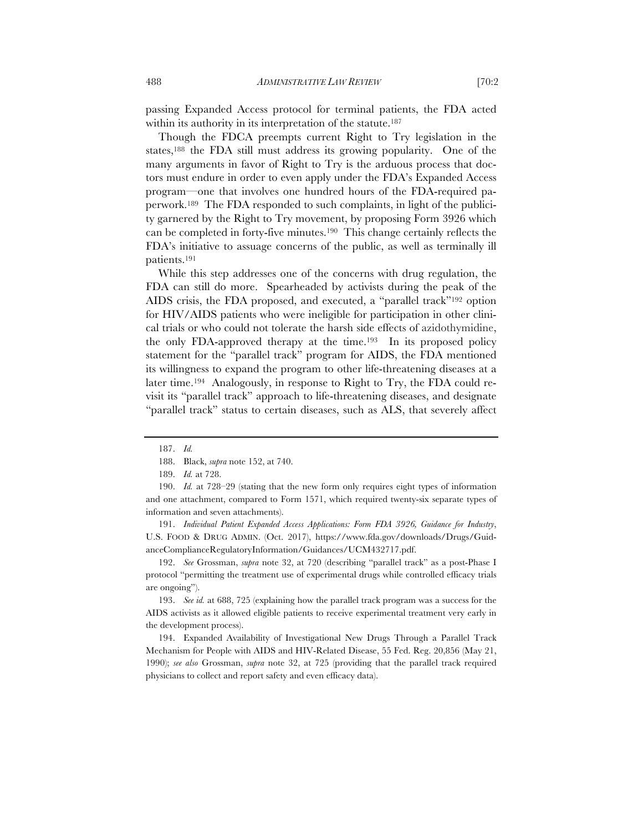passing Expanded Access protocol for terminal patients, the FDA acted within its authority in its interpretation of the statute.<sup>187</sup>

Though the FDCA preempts current Right to Try legislation in the states,188 the FDA still must address its growing popularity. One of the many arguments in favor of Right to Try is the arduous process that doctors must endure in order to even apply under the FDA's Expanded Access program—one that involves one hundred hours of the FDA-required paperwork.189 The FDA responded to such complaints, in light of the publicity garnered by the Right to Try movement, by proposing Form 3926 which can be completed in forty-five minutes.190 This change certainly reflects the FDA's initiative to assuage concerns of the public, as well as terminally ill patients.191

While this step addresses one of the concerns with drug regulation, the FDA can still do more. Spearheaded by activists during the peak of the AIDS crisis, the FDA proposed, and executed, a "parallel track"192 option for HIV/AIDS patients who were ineligible for participation in other clinical trials or who could not tolerate the harsh side effects of azidothymidine, the only FDA-approved therapy at the time.193 In its proposed policy statement for the "parallel track" program for AIDS, the FDA mentioned its willingness to expand the program to other life-threatening diseases at a later time.194 Analogously, in response to Right to Try, the FDA could revisit its "parallel track" approach to life-threatening diseases, and designate "parallel track" status to certain diseases, such as ALS, that severely affect

189. *Id.* at 728.

191. *Individual Patient Expanded Access Applications: Form FDA 3926, Guidance for Industry*, U.S. FOOD & DRUG ADMIN. (Oct. 2017), https://www.fda.gov/downloads/Drugs/GuidanceComplianceRegulatoryInformation/Guidances/UCM432717.pdf.

192. *See* Grossman, *supra* note 32, at 720 (describing "parallel track" as a post-Phase I protocol "permitting the treatment use of experimental drugs while controlled efficacy trials are ongoing").

193. *See id.* at 688, 725 (explaining how the parallel track program was a success for the AIDS activists as it allowed eligible patients to receive experimental treatment very early in the development process).

194. Expanded Availability of Investigational New Drugs Through a Parallel Track Mechanism for People with AIDS and HIV-Related Disease, 55 Fed. Reg. 20,856 (May 21, 1990); *see also* Grossman, *supra* note 32, at 725 (providing that the parallel track required physicians to collect and report safety and even efficacy data).

<sup>187.</sup> *Id.* 

<sup>188.</sup> Black, *supra* note 152, at 740.

<sup>190.</sup> *Id.* at 728–29 (stating that the new form only requires eight types of information and one attachment, compared to Form 1571, which required twenty-six separate types of information and seven attachments).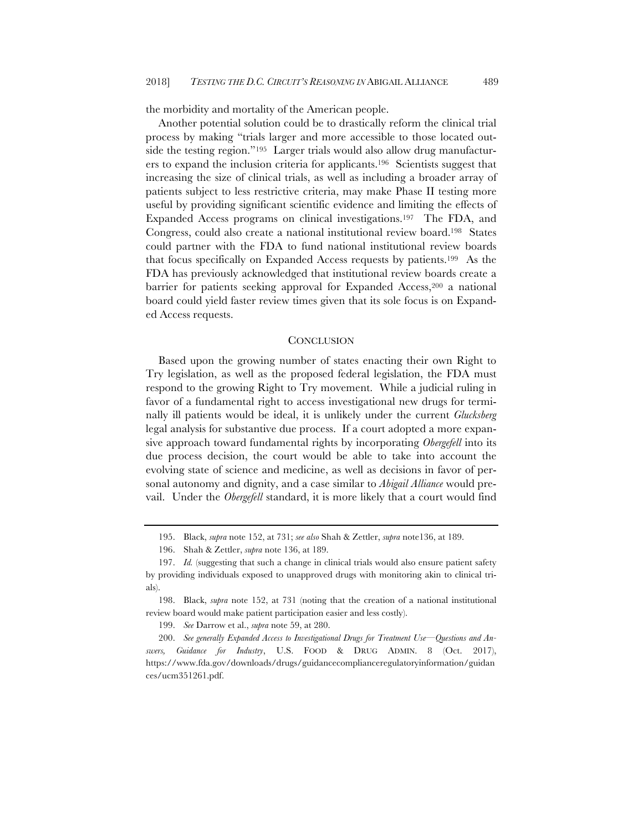the morbidity and mortality of the American people.

Another potential solution could be to drastically reform the clinical trial process by making "trials larger and more accessible to those located outside the testing region."195 Larger trials would also allow drug manufacturers to expand the inclusion criteria for applicants.196 Scientists suggest that increasing the size of clinical trials, as well as including a broader array of patients subject to less restrictive criteria, may make Phase II testing more useful by providing significant scientific evidence and limiting the effects of Expanded Access programs on clinical investigations.197 The FDA, and Congress, could also create a national institutional review board.198 States could partner with the FDA to fund national institutional review boards that focus specifically on Expanded Access requests by patients.199 As the FDA has previously acknowledged that institutional review boards create a barrier for patients seeking approval for Expanded Access,<sup>200</sup> a national board could yield faster review times given that its sole focus is on Expanded Access requests.

#### **CONCLUSION**

Based upon the growing number of states enacting their own Right to Try legislation, as well as the proposed federal legislation, the FDA must respond to the growing Right to Try movement. While a judicial ruling in favor of a fundamental right to access investigational new drugs for terminally ill patients would be ideal, it is unlikely under the current *Glucksberg*  legal analysis for substantive due process. If a court adopted a more expansive approach toward fundamental rights by incorporating *Obergefell* into its due process decision, the court would be able to take into account the evolving state of science and medicine, as well as decisions in favor of personal autonomy and dignity, and a case similar to *Abigail Alliance* would prevail. Under the *Obergefell* standard, it is more likely that a court would find

<sup>195.</sup> Black, *supra* note 152, at 731; *see also* Shah & Zettler, *supra* note136, at 189.

<sup>196.</sup> Shah & Zettler, *supra* note 136, at 189.

<sup>197.</sup> *Id.* (suggesting that such a change in clinical trials would also ensure patient safety by providing individuals exposed to unapproved drugs with monitoring akin to clinical trials).

<sup>198.</sup> Black, *supra* note 152, at 731 (noting that the creation of a national institutional review board would make patient participation easier and less costly).

<sup>199.</sup> *See* Darrow et al., *supra* note 59, at 280.

<sup>200.</sup> *See generally Expanded Access to Investigational Drugs for Treatment Use—Questions and Answers, Guidance for Industry*, U.S. FOOD & DRUG ADMIN. 8 (Oct. 2017), https://www.fda.gov/downloads/drugs/guidancecomplianceregulatoryinformation/guidan ces/ucm351261.pdf.